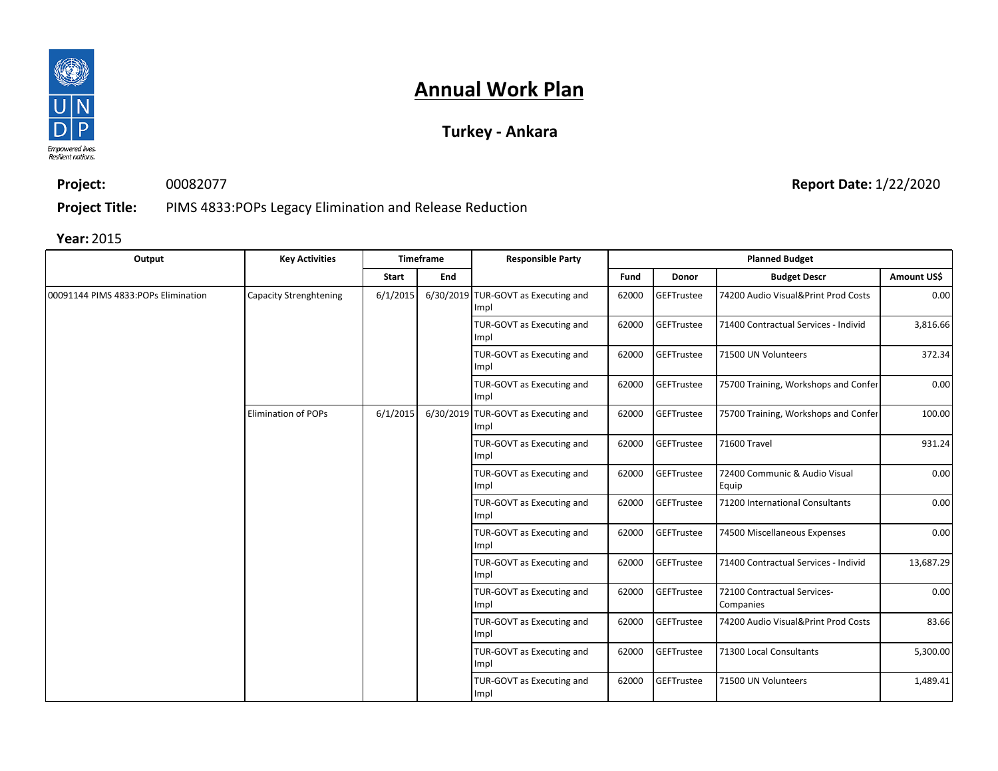

### **Turkey - Ankara**

**Project:** 00082077

**Report Date:** 1/22/2020

**Project Title:** PIMS 4833:POPs Legacy Elimination and Release Reduction

| Output                              | <b>Key Activities</b>      |          | <b>Timeframe</b> | <b>Responsible Party</b>                    |       |                   | <b>Planned Budget</b>                    |             |  |  |  |  |  |  |  |  |  |  |  |  |  |  |  |  |  |  |  |  |  |  |  |  |  |  |  |  |  |  |                                   |       |            |                         |
|-------------------------------------|----------------------------|----------|------------------|---------------------------------------------|-------|-------------------|------------------------------------------|-------------|--|--|--|--|--|--|--|--|--|--|--|--|--|--|--|--|--|--|--|--|--|--|--|--|--|--|--|--|--|--|-----------------------------------|-------|------------|-------------------------|
|                                     |                            | Start    | End              |                                             | Fund  | Donor             | <b>Budget Descr</b>                      | Amount US\$ |  |  |  |  |  |  |  |  |  |  |  |  |  |  |  |  |  |  |  |  |  |  |  |  |  |  |  |  |  |  |                                   |       |            |                         |
| 00091144 PIMS 4833:POPs Elimination | Capacity Strenghtening     | 6/1/2015 |                  | 6/30/2019 TUR-GOVT as Executing and<br>Impl | 62000 | GEFTrustee        | 74200 Audio Visual&Print Prod Costs      | 0.00        |  |  |  |  |  |  |  |  |  |  |  |  |  |  |  |  |  |  |  |  |  |  |  |  |  |  |  |  |  |  |                                   |       |            |                         |
|                                     |                            |          |                  | TUR-GOVT as Executing and<br>Impl           | 62000 | GEFTrustee        | 71400 Contractual Services - Individ     | 3,816.66    |  |  |  |  |  |  |  |  |  |  |  |  |  |  |  |  |  |  |  |  |  |  |  |  |  |  |  |  |  |  |                                   |       |            |                         |
|                                     |                            |          |                  | TUR-GOVT as Executing and<br>Impl           | 62000 | <b>GEFTrustee</b> | 71500 UN Volunteers                      | 372.34      |  |  |  |  |  |  |  |  |  |  |  |  |  |  |  |  |  |  |  |  |  |  |  |  |  |  |  |  |  |  |                                   |       |            |                         |
|                                     |                            |          |                  | TUR-GOVT as Executing and<br>Impl           | 62000 | GEFTrustee        | 75700 Training, Workshops and Confer     | 0.00        |  |  |  |  |  |  |  |  |  |  |  |  |  |  |  |  |  |  |  |  |  |  |  |  |  |  |  |  |  |  |                                   |       |            |                         |
|                                     | <b>Elimination of POPs</b> | 6/1/2015 |                  | 6/30/2019 TUR-GOVT as Executing and<br>Impl | 62000 | GEFTrustee        | 75700 Training, Workshops and Confer     | 100.00      |  |  |  |  |  |  |  |  |  |  |  |  |  |  |  |  |  |  |  |  |  |  |  |  |  |  |  |  |  |  |                                   |       |            |                         |
|                                     |                            |          |                  | TUR-GOVT as Executing and<br>Impl           | 62000 | <b>GEFTrustee</b> | 71600 Travel                             | 931.24      |  |  |  |  |  |  |  |  |  |  |  |  |  |  |  |  |  |  |  |  |  |  |  |  |  |  |  |  |  |  |                                   |       |            |                         |
|                                     |                            |          |                  | TUR-GOVT as Executing and<br>Impl           | 62000 | <b>GEFTrustee</b> | 72400 Communic & Audio Visual<br>Equip   | 0.00        |  |  |  |  |  |  |  |  |  |  |  |  |  |  |  |  |  |  |  |  |  |  |  |  |  |  |  |  |  |  |                                   |       |            |                         |
|                                     |                            |          |                  | TUR-GOVT as Executing and<br>Impl           | 62000 | GEFTrustee        | 71200 International Consultants          | 0.00        |  |  |  |  |  |  |  |  |  |  |  |  |  |  |  |  |  |  |  |  |  |  |  |  |  |  |  |  |  |  |                                   |       |            |                         |
|                                     |                            |          |                  | TUR-GOVT as Executing and<br>Impl           | 62000 | <b>GEFTrustee</b> | 74500 Miscellaneous Expenses             | 0.00        |  |  |  |  |  |  |  |  |  |  |  |  |  |  |  |  |  |  |  |  |  |  |  |  |  |  |  |  |  |  |                                   |       |            |                         |
|                                     |                            |          |                  | TUR-GOVT as Executing and<br>Impl           | 62000 | <b>GEFTrustee</b> | 71400 Contractual Services - Individ     | 13,687.29   |  |  |  |  |  |  |  |  |  |  |  |  |  |  |  |  |  |  |  |  |  |  |  |  |  |  |  |  |  |  |                                   |       |            |                         |
|                                     |                            |          |                  | TUR-GOVT as Executing and<br>Impl           | 62000 | <b>GEFTrustee</b> | 72100 Contractual Services-<br>Companies | 0.00        |  |  |  |  |  |  |  |  |  |  |  |  |  |  |  |  |  |  |  |  |  |  |  |  |  |  |  |  |  |  |                                   |       |            |                         |
|                                     |                            |          |                  | TUR-GOVT as Executing and<br>Impl           | 62000 | <b>GEFTrustee</b> | 74200 Audio Visual&Print Prod Costs      | 83.66       |  |  |  |  |  |  |  |  |  |  |  |  |  |  |  |  |  |  |  |  |  |  |  |  |  |  |  |  |  |  |                                   |       |            |                         |
|                                     |                            |          |                  |                                             |       |                   |                                          |             |  |  |  |  |  |  |  |  |  |  |  |  |  |  |  |  |  |  |  |  |  |  |  |  |  |  |  |  |  |  | TUR-GOVT as Executing and<br>Impl | 62000 | GEFTrustee | 71300 Local Consultants |
|                                     |                            |          |                  | TUR-GOVT as Executing and<br>Impl           | 62000 | GEFTrustee        | 71500 UN Volunteers                      | 1,489.41    |  |  |  |  |  |  |  |  |  |  |  |  |  |  |  |  |  |  |  |  |  |  |  |  |  |  |  |  |  |  |                                   |       |            |                         |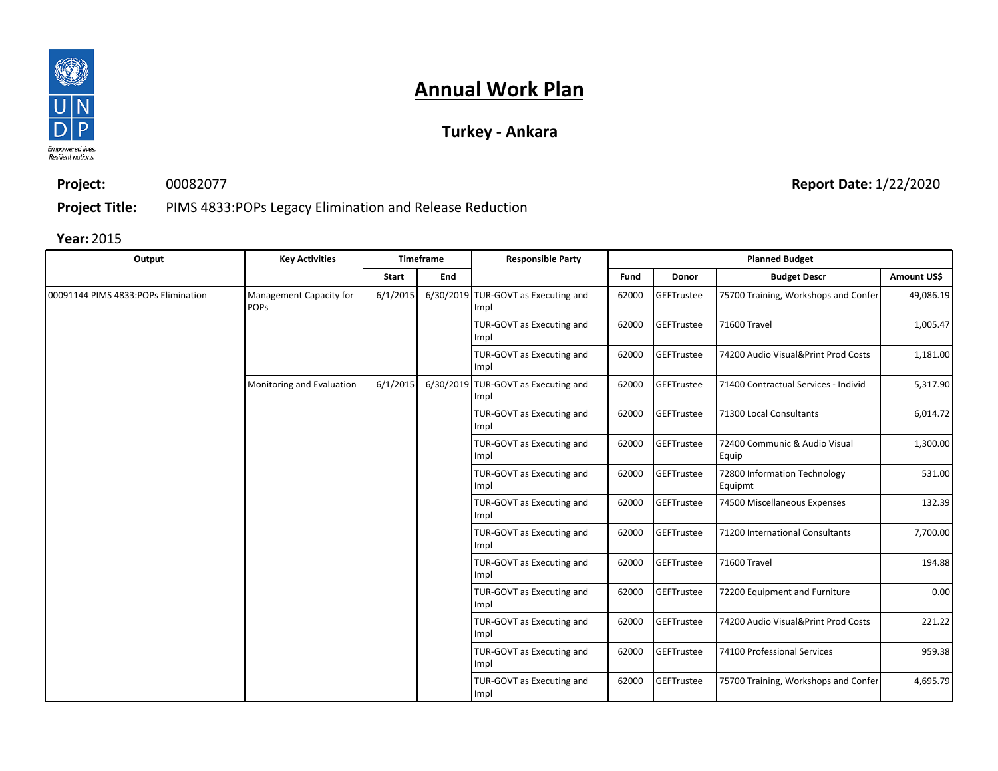

### **Turkey - Ankara**

**Project:** 00082077

**Report Date:** 1/22/2020

**Project Title:** PIMS 4833:POPs Legacy Elimination and Release Reduction

| Output                              | <b>Key Activities</b>                  |          | Timeframe | <b>Responsible Party</b>                    |                                   |                   | <b>Planned Budget</b>                   |                                                                                          |  |  |  |  |  |  |  |  |  |  |  |  |  |  |  |  |  |  |  |  |  |  |  |  |  |  |  |  |  |  |  |                                   |       |                   |                             |
|-------------------------------------|----------------------------------------|----------|-----------|---------------------------------------------|-----------------------------------|-------------------|-----------------------------------------|------------------------------------------------------------------------------------------|--|--|--|--|--|--|--|--|--|--|--|--|--|--|--|--|--|--|--|--|--|--|--|--|--|--|--|--|--|--|--|-----------------------------------|-------|-------------------|-----------------------------|
|                                     |                                        | Start    | End       |                                             | Fund                              | Donor             | <b>Budget Descr</b>                     | Amount US\$                                                                              |  |  |  |  |  |  |  |  |  |  |  |  |  |  |  |  |  |  |  |  |  |  |  |  |  |  |  |  |  |  |  |                                   |       |                   |                             |
| 00091144 PIMS 4833:POPs Elimination | Management Capacity for<br><b>POPS</b> | 6/1/2015 |           | 6/30/2019 TUR-GOVT as Executing and<br>Impl | 62000                             | GEFTrustee        | 75700 Training, Workshops and Confer    | 49,086.19                                                                                |  |  |  |  |  |  |  |  |  |  |  |  |  |  |  |  |  |  |  |  |  |  |  |  |  |  |  |  |  |  |  |                                   |       |                   |                             |
|                                     |                                        |          |           | TUR-GOVT as Executing and<br>Impl           | 62000                             | <b>GEFTrustee</b> | 71600 Travel                            | 1,005.47<br>1,181.00<br>5,317.90<br>6,014.72<br>1,300.00<br>531.00<br>132.39<br>7,700.00 |  |  |  |  |  |  |  |  |  |  |  |  |  |  |  |  |  |  |  |  |  |  |  |  |  |  |  |  |  |  |  |                                   |       |                   |                             |
|                                     |                                        |          |           | TUR-GOVT as Executing and<br>Impl           | 62000                             | <b>GEFTrustee</b> | 74200 Audio Visual&Print Prod Costs     |                                                                                          |  |  |  |  |  |  |  |  |  |  |  |  |  |  |  |  |  |  |  |  |  |  |  |  |  |  |  |  |  |  |  |                                   |       |                   |                             |
|                                     | Monitoring and Evaluation              | 6/1/2015 |           | 6/30/2019 TUR-GOVT as Executing and<br>Impl | 62000                             | GEFTrustee        | 71400 Contractual Services - Individ    |                                                                                          |  |  |  |  |  |  |  |  |  |  |  |  |  |  |  |  |  |  |  |  |  |  |  |  |  |  |  |  |  |  |  |                                   |       |                   |                             |
|                                     |                                        |          |           | TUR-GOVT as Executing and<br>Impl           | 62000                             | GEFTrustee        | 71300 Local Consultants                 |                                                                                          |  |  |  |  |  |  |  |  |  |  |  |  |  |  |  |  |  |  |  |  |  |  |  |  |  |  |  |  |  |  |  |                                   |       |                   |                             |
|                                     |                                        |          |           | TUR-GOVT as Executing and<br>Impl           | 62000                             | GEFTrustee        | 72400 Communic & Audio Visual<br>Equip  |                                                                                          |  |  |  |  |  |  |  |  |  |  |  |  |  |  |  |  |  |  |  |  |  |  |  |  |  |  |  |  |  |  |  |                                   |       |                   |                             |
|                                     |                                        |          |           | TUR-GOVT as Executing and<br>Impl           | 62000                             | GEFTrustee        | 72800 Information Technology<br>Equipmt |                                                                                          |  |  |  |  |  |  |  |  |  |  |  |  |  |  |  |  |  |  |  |  |  |  |  |  |  |  |  |  |  |  |  |                                   |       |                   |                             |
|                                     |                                        |          |           |                                             | TUR-GOVT as Executing and<br>Impl | 62000             | GEFTrustee                              | 74500 Miscellaneous Expenses                                                             |  |  |  |  |  |  |  |  |  |  |  |  |  |  |  |  |  |  |  |  |  |  |  |  |  |  |  |  |  |  |  |                                   |       |                   |                             |
|                                     |                                        |          |           | TUR-GOVT as Executing and<br>Impl           | 62000                             | GEFTrustee        | 71200 International Consultants         |                                                                                          |  |  |  |  |  |  |  |  |  |  |  |  |  |  |  |  |  |  |  |  |  |  |  |  |  |  |  |  |  |  |  |                                   |       |                   |                             |
|                                     |                                        |          |           | TUR-GOVT as Executing and<br>Impl           | 62000                             | GEFTrustee        | 71600 Travel                            | 194.88                                                                                   |  |  |  |  |  |  |  |  |  |  |  |  |  |  |  |  |  |  |  |  |  |  |  |  |  |  |  |  |  |  |  |                                   |       |                   |                             |
|                                     |                                        |          |           | TUR-GOVT as Executing and<br>Impl           | 62000                             | GEFTrustee        | 72200 Equipment and Furniture           | 0.00                                                                                     |  |  |  |  |  |  |  |  |  |  |  |  |  |  |  |  |  |  |  |  |  |  |  |  |  |  |  |  |  |  |  |                                   |       |                   |                             |
|                                     |                                        |          |           | TUR-GOVT as Executing and<br>Impl           | 62000                             | GEFTrustee        | 74200 Audio Visual&Print Prod Costs     | 221.22                                                                                   |  |  |  |  |  |  |  |  |  |  |  |  |  |  |  |  |  |  |  |  |  |  |  |  |  |  |  |  |  |  |  |                                   |       |                   |                             |
|                                     |                                        |          |           |                                             |                                   |                   |                                         |                                                                                          |  |  |  |  |  |  |  |  |  |  |  |  |  |  |  |  |  |  |  |  |  |  |  |  |  |  |  |  |  |  |  | TUR-GOVT as Executing and<br>Impl | 62000 | <b>GEFTrustee</b> | 74100 Professional Services |
|                                     |                                        |          |           | TUR-GOVT as Executing and<br>Impl           | 62000                             | GEFTrustee        | 75700 Training, Workshops and Confer    | 4,695.79                                                                                 |  |  |  |  |  |  |  |  |  |  |  |  |  |  |  |  |  |  |  |  |  |  |  |  |  |  |  |  |  |  |  |                                   |       |                   |                             |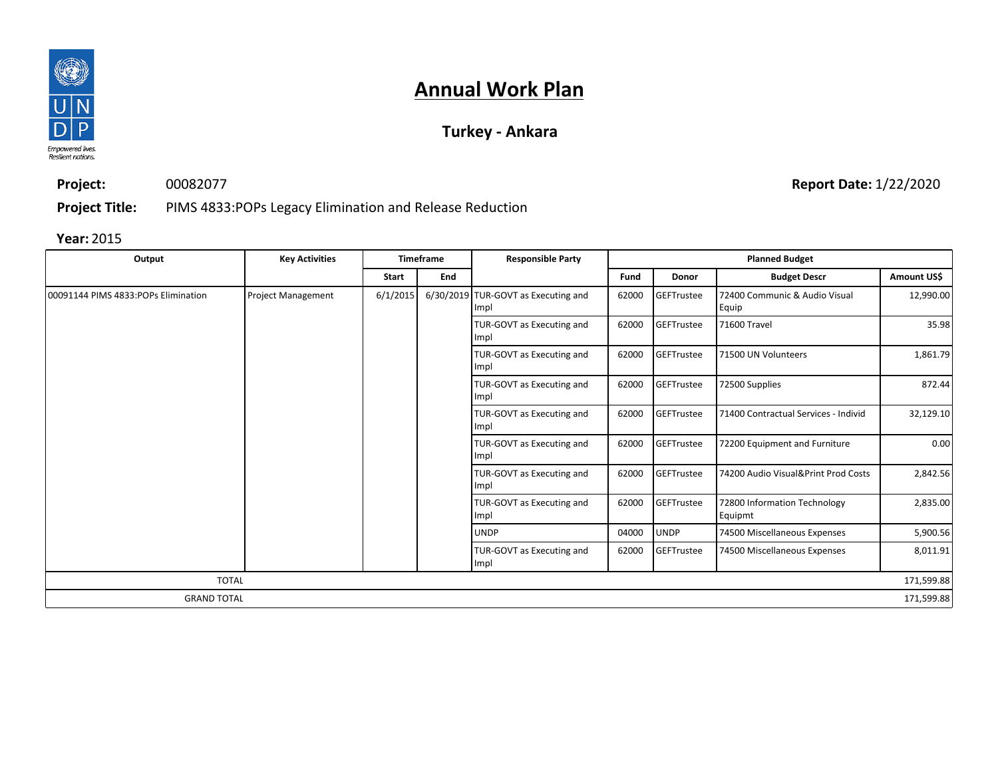

### **Turkey - Ankara**

**Project:** 00082077

**Project Title:** PIMS 4833:POPs Legacy Elimination and Release Reduction

**Year:** 2015

| Output                              | <b>Key Activities</b>     |          | <b>Timeframe</b> | <b>Responsible Party</b>                    |                                   |             | <b>Planned Budget</b>                   |                                      |           |
|-------------------------------------|---------------------------|----------|------------------|---------------------------------------------|-----------------------------------|-------------|-----------------------------------------|--------------------------------------|-----------|
|                                     |                           | Start    | End              |                                             | Fund                              | Donor       | <b>Budget Descr</b>                     | Amount US\$                          |           |
| 00091144 PIMS 4833:POPs Elimination | <b>Project Management</b> | 6/1/2015 |                  | 6/30/2019 TUR-GOVT as Executing and<br>Impl | 62000                             | GEFTrustee  | 72400 Communic & Audio Visual<br>Equip  | 12,990.00                            |           |
|                                     |                           |          |                  | TUR-GOVT as Executing and<br>Impl           | 62000                             | GEFTrustee  | 71600 Travel                            | 35.98                                |           |
|                                     |                           |          |                  |                                             | TUR-GOVT as Executing and<br>Impl | 62000       | <b>GEFTrustee</b>                       | 71500 UN Volunteers                  | 1,861.79  |
|                                     |                           |          |                  | TUR-GOVT as Executing and<br>Impl           | 62000                             | GEFTrustee  | 72500 Supplies                          | 872.44                               |           |
|                                     |                           |          |                  |                                             | TUR-GOVT as Executing and<br>Impl | 62000       | GEFTrustee                              | 71400 Contractual Services - Individ | 32,129.10 |
|                                     |                           |          |                  |                                             | TUR-GOVT as Executing and<br>Impl | 62000       | GEFTrustee                              | 72200 Equipment and Furniture        | 0.00      |
|                                     |                           |          |                  | TUR-GOVT as Executing and<br>Impl           | 62000                             | GEFTrustee  | 74200 Audio Visual&Print Prod Costs     | 2,842.56                             |           |
|                                     |                           |          |                  | TUR-GOVT as Executing and<br>Impl           | 62000                             | GEFTrustee  | 72800 Information Technology<br>Equipmt | 2,835.00                             |           |
|                                     |                           |          |                  | <b>UNDP</b>                                 | 04000                             | <b>UNDP</b> | 74500 Miscellaneous Expenses            | 5,900.56                             |           |
|                                     |                           |          |                  | TUR-GOVT as Executing and<br>Impl           | 62000                             | GEFTrustee  | 74500 Miscellaneous Expenses            | 8,011.91                             |           |
| <b>TOTAL</b>                        |                           |          |                  |                                             |                                   |             |                                         | 171,599.88                           |           |
| <b>GRAND TOTAL</b>                  |                           |          |                  |                                             |                                   |             |                                         | 171,599.88                           |           |

**Report Date:** 1/22/2020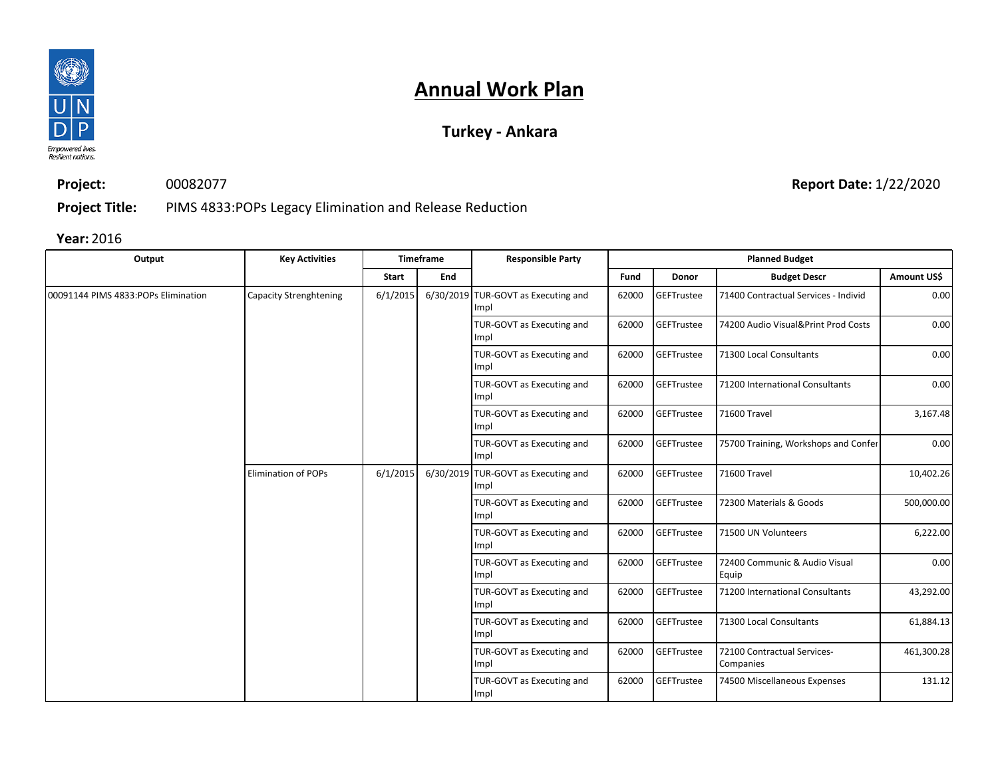

### **Turkey - Ankara**

**Project:** 00082077 **Report Date:** 1/22/2020

**Project Title:** PIMS 4833:POPs Legacy Elimination and Release Reduction

| Output                              | <b>Key Activities</b>         |          | <b>Timeframe</b> | <b>Responsible Party</b>                    |       |                   | <b>Planned Budget</b>                    |             |
|-------------------------------------|-------------------------------|----------|------------------|---------------------------------------------|-------|-------------------|------------------------------------------|-------------|
|                                     |                               | Start    | <b>End</b>       |                                             | Fund  | Donor             | <b>Budget Descr</b>                      | Amount US\$ |
| 00091144 PIMS 4833:POPs Elimination | <b>Capacity Strenghtening</b> | 6/1/2015 |                  | 6/30/2019 TUR-GOVT as Executing and<br>Impl | 62000 | <b>GEFTrustee</b> | 71400 Contractual Services - Individ     | 0.00        |
|                                     |                               |          |                  | TUR-GOVT as Executing and<br>Impl           | 62000 | GEFTrustee        | 74200 Audio Visual&Print Prod Costs      | 0.00        |
|                                     |                               |          |                  | TUR-GOVT as Executing and<br>Impl           | 62000 | <b>GEFTrustee</b> | 71300 Local Consultants                  | 0.00        |
|                                     |                               |          |                  | TUR-GOVT as Executing and<br>Impl           | 62000 | GEFTrustee        | 71200 International Consultants          | 0.00        |
|                                     |                               |          |                  | TUR-GOVT as Executing and<br>Impl           | 62000 | GEFTrustee        | 71600 Travel                             | 3,167.48    |
|                                     |                               |          |                  | TUR-GOVT as Executing and<br>Impl           | 62000 | GEFTrustee        | 75700 Training, Workshops and Confer     | 0.00        |
|                                     | <b>Elimination of POPs</b>    | 6/1/2015 |                  | 6/30/2019 TUR-GOVT as Executing and<br>Impl | 62000 | <b>GEFTrustee</b> | 71600 Travel                             | 10,402.26   |
|                                     |                               |          |                  | TUR-GOVT as Executing and<br>Impl           | 62000 | <b>GEFTrustee</b> | 72300 Materials & Goods                  | 500,000.00  |
|                                     |                               |          |                  | TUR-GOVT as Executing and<br>Impl           | 62000 | GEFTrustee        | 71500 UN Volunteers                      | 6,222.00    |
|                                     |                               |          |                  | TUR-GOVT as Executing and<br>Impl           | 62000 | GEFTrustee        | 72400 Communic & Audio Visual<br>Equip   | 0.00        |
|                                     |                               |          |                  | TUR-GOVT as Executing and<br>Impl           | 62000 | <b>GEFTrustee</b> | 71200 International Consultants          | 43,292.00   |
|                                     |                               |          |                  | TUR-GOVT as Executing and<br>Impl           | 62000 | <b>GEFTrustee</b> | 71300 Local Consultants                  | 61,884.13   |
|                                     |                               |          |                  | TUR-GOVT as Executing and<br>Impl           | 62000 | <b>GEFTrustee</b> | 72100 Contractual Services-<br>Companies | 461,300.28  |
|                                     |                               |          |                  | TUR-GOVT as Executing and<br>Impl           | 62000 | <b>GEFTrustee</b> | 74500 Miscellaneous Expenses             | 131.12      |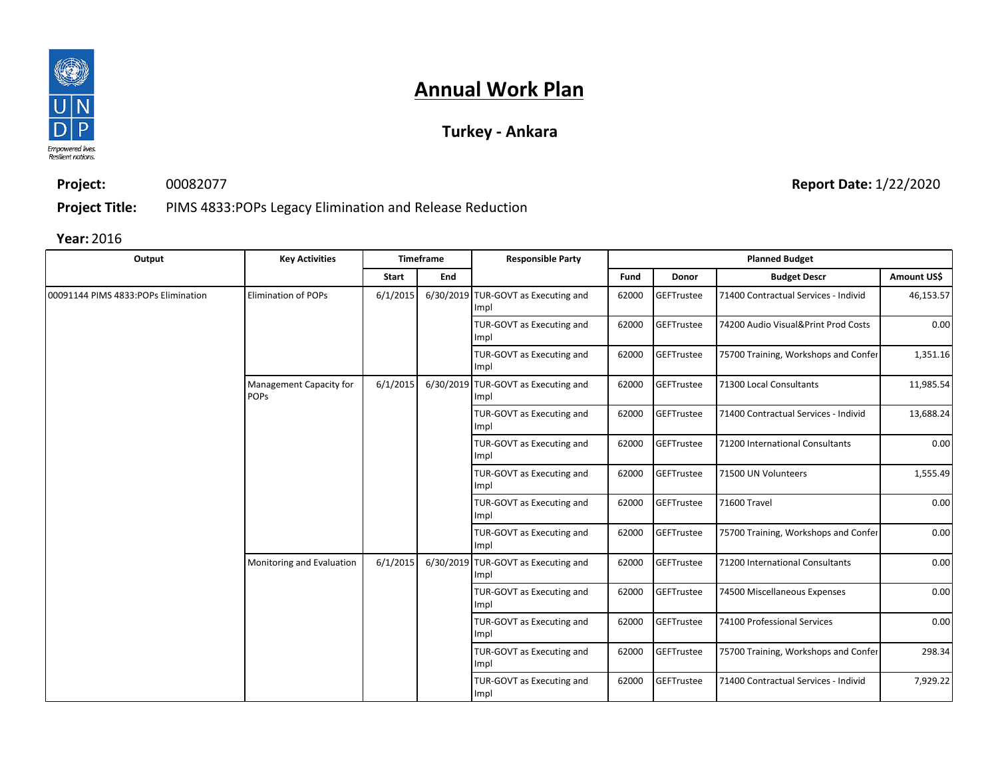

### **Turkey - Ankara**

**Project:** 00082077

**Report Date:** 1/22/2020

**Project Title:** PIMS 4833:POPs Legacy Elimination and Release Reduction

| Output                               | <b>Key Activities</b>                  |          | <b>Timeframe</b> | <b>Responsible Party</b>                    |       |                   | <b>Planned Budget</b>                |             |  |  |  |  |  |  |  |  |  |  |  |  |  |  |  |  |  |  |  |  |  |  |  |  |  |  |  |  |  |  |  |                                   |       |            |                                      |
|--------------------------------------|----------------------------------------|----------|------------------|---------------------------------------------|-------|-------------------|--------------------------------------|-------------|--|--|--|--|--|--|--|--|--|--|--|--|--|--|--|--|--|--|--|--|--|--|--|--|--|--|--|--|--|--|--|-----------------------------------|-------|------------|--------------------------------------|
|                                      |                                        | Start    | End              |                                             | Fund  | Donor             | <b>Budget Descr</b>                  | Amount US\$ |  |  |  |  |  |  |  |  |  |  |  |  |  |  |  |  |  |  |  |  |  |  |  |  |  |  |  |  |  |  |  |                                   |       |            |                                      |
| 00091144 PIMS 4833: POPs Elimination | <b>Elimination of POPs</b>             | 6/1/2015 |                  | 6/30/2019 TUR-GOVT as Executing and<br>Impl | 62000 | GEFTrustee        | 71400 Contractual Services - Individ | 46,153.57   |  |  |  |  |  |  |  |  |  |  |  |  |  |  |  |  |  |  |  |  |  |  |  |  |  |  |  |  |  |  |  |                                   |       |            |                                      |
|                                      |                                        |          |                  | TUR-GOVT as Executing and<br>Impl           | 62000 | GEFTrustee        | 74200 Audio Visual&Print Prod Costs  | 0.00        |  |  |  |  |  |  |  |  |  |  |  |  |  |  |  |  |  |  |  |  |  |  |  |  |  |  |  |  |  |  |  |                                   |       |            |                                      |
|                                      |                                        |          |                  | TUR-GOVT as Executing and<br>Impl           | 62000 | GEFTrustee        | 75700 Training, Workshops and Confer | 1,351.16    |  |  |  |  |  |  |  |  |  |  |  |  |  |  |  |  |  |  |  |  |  |  |  |  |  |  |  |  |  |  |  |                                   |       |            |                                      |
|                                      | Management Capacity for<br><b>POPS</b> | 6/1/2015 | 6/30/2019        | TUR-GOVT as Executing and<br>Impl           | 62000 | GEFTrustee        | 71300 Local Consultants              | 11,985.54   |  |  |  |  |  |  |  |  |  |  |  |  |  |  |  |  |  |  |  |  |  |  |  |  |  |  |  |  |  |  |  |                                   |       |            |                                      |
|                                      |                                        |          |                  | TUR-GOVT as Executing and<br>Impl           | 62000 | GEFTrustee        | 71400 Contractual Services - Individ | 13,688.24   |  |  |  |  |  |  |  |  |  |  |  |  |  |  |  |  |  |  |  |  |  |  |  |  |  |  |  |  |  |  |  |                                   |       |            |                                      |
|                                      |                                        |          |                  | TUR-GOVT as Executing and<br>Impl           | 62000 | <b>GEFTrustee</b> | 71200 International Consultants      | 0.00        |  |  |  |  |  |  |  |  |  |  |  |  |  |  |  |  |  |  |  |  |  |  |  |  |  |  |  |  |  |  |  |                                   |       |            |                                      |
|                                      |                                        |          |                  | TUR-GOVT as Executing and<br>Impl           | 62000 | GEFTrustee        | 71500 UN Volunteers                  | 1,555.49    |  |  |  |  |  |  |  |  |  |  |  |  |  |  |  |  |  |  |  |  |  |  |  |  |  |  |  |  |  |  |  |                                   |       |            |                                      |
|                                      |                                        |          |                  | TUR-GOVT as Executing and<br>Impl           | 62000 | GEFTrustee        | 71600 Travel                         | 0.00        |  |  |  |  |  |  |  |  |  |  |  |  |  |  |  |  |  |  |  |  |  |  |  |  |  |  |  |  |  |  |  |                                   |       |            |                                      |
|                                      |                                        |          |                  | TUR-GOVT as Executing and<br>Impl           | 62000 | GEFTrustee        | 75700 Training, Workshops and Confer | 0.00        |  |  |  |  |  |  |  |  |  |  |  |  |  |  |  |  |  |  |  |  |  |  |  |  |  |  |  |  |  |  |  |                                   |       |            |                                      |
|                                      | Monitoring and Evaluation              | 6/1/2015 | 6/30/2019        | TUR-GOVT as Executing and<br>Impl           | 62000 | GEFTrustee        | 71200 International Consultants      | 0.00        |  |  |  |  |  |  |  |  |  |  |  |  |  |  |  |  |  |  |  |  |  |  |  |  |  |  |  |  |  |  |  |                                   |       |            |                                      |
|                                      |                                        |          |                  | TUR-GOVT as Executing and<br>Impl           | 62000 | GEFTrustee        | 74500 Miscellaneous Expenses         | 0.00        |  |  |  |  |  |  |  |  |  |  |  |  |  |  |  |  |  |  |  |  |  |  |  |  |  |  |  |  |  |  |  |                                   |       |            |                                      |
|                                      |                                        |          |                  | TUR-GOVT as Executing and<br>Impl           | 62000 | GEFTrustee        | 74100 Professional Services          | 0.00        |  |  |  |  |  |  |  |  |  |  |  |  |  |  |  |  |  |  |  |  |  |  |  |  |  |  |  |  |  |  |  |                                   |       |            |                                      |
|                                      |                                        |          |                  |                                             |       |                   |                                      |             |  |  |  |  |  |  |  |  |  |  |  |  |  |  |  |  |  |  |  |  |  |  |  |  |  |  |  |  |  |  |  | TUR-GOVT as Executing and<br>Impl | 62000 | GEFTrustee | 75700 Training, Workshops and Confer |
|                                      |                                        |          |                  | TUR-GOVT as Executing and<br>Impl           | 62000 | GEFTrustee        | 71400 Contractual Services - Individ | 7,929.22    |  |  |  |  |  |  |  |  |  |  |  |  |  |  |  |  |  |  |  |  |  |  |  |  |  |  |  |  |  |  |  |                                   |       |            |                                      |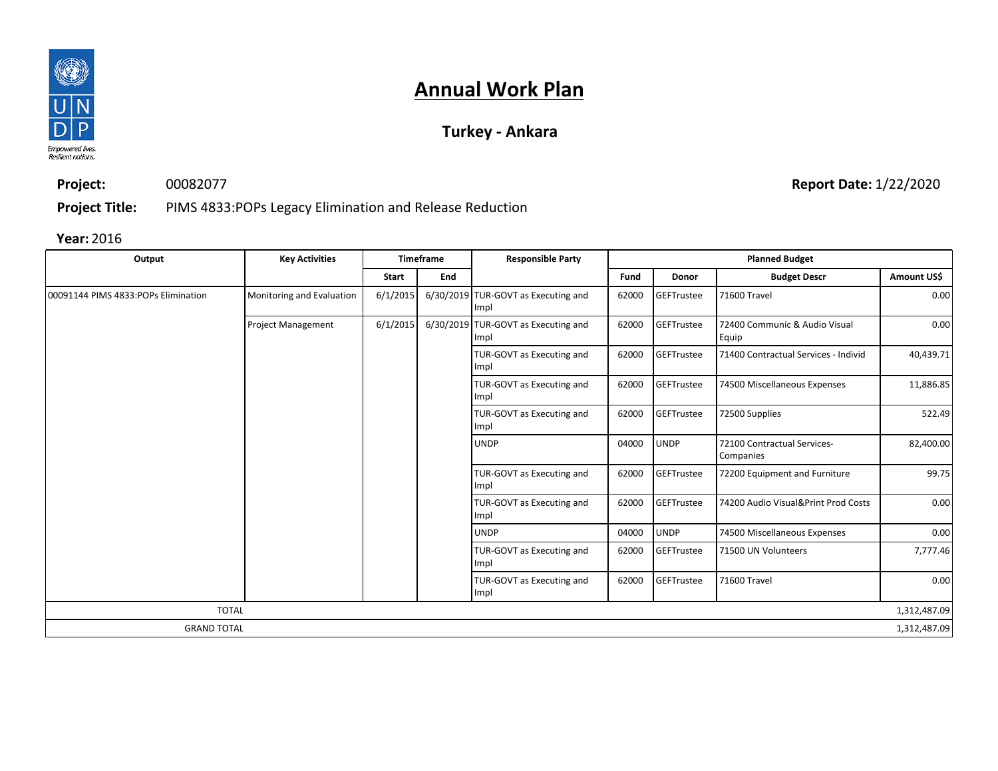

### **Turkey - Ankara**

**Project:** 00082077 **Report Date:** 1/22/2020

**Project Title:** PIMS 4833:POPs Legacy Elimination and Release Reduction

| Output                               | <b>Key Activities</b>     |          | <b>Timeframe</b> | <b>Responsible Party</b>                    |       |                   | <b>Planned Budget</b>                    |              |
|--------------------------------------|---------------------------|----------|------------------|---------------------------------------------|-------|-------------------|------------------------------------------|--------------|
|                                      |                           | Start    | End              |                                             | Fund  | Donor             | <b>Budget Descr</b>                      | Amount US\$  |
| 00091144 PIMS 4833: POPs Elimination | Monitoring and Evaluation | 6/1/2015 |                  | 6/30/2019 TUR-GOVT as Executing and<br>Impl | 62000 | <b>GEFTrustee</b> | 71600 Travel                             | 0.00         |
|                                      | <b>Project Management</b> | 6/1/2015 |                  | 6/30/2019 TUR-GOVT as Executing and<br>Impl | 62000 | GEFTrustee        | 72400 Communic & Audio Visual<br>Equip   | 0.00         |
|                                      |                           |          |                  | TUR-GOVT as Executing and<br>Impl           | 62000 | GEFTrustee        | 71400 Contractual Services - Individ     | 40,439.71    |
|                                      |                           |          |                  | TUR-GOVT as Executing and<br>Impl           | 62000 | <b>GEFTrustee</b> | 74500 Miscellaneous Expenses             | 11,886.85    |
|                                      |                           |          |                  | TUR-GOVT as Executing and<br>Impl           | 62000 | GEFTrustee        | 72500 Supplies                           | 522.49       |
|                                      |                           |          |                  | <b>UNDP</b>                                 | 04000 | <b>UNDP</b>       | 72100 Contractual Services-<br>Companies | 82,400.00    |
|                                      |                           |          |                  | TUR-GOVT as Executing and<br>Impl           | 62000 | GEFTrustee        | 72200 Equipment and Furniture            | 99.75        |
|                                      |                           |          |                  | TUR-GOVT as Executing and<br>Impl           | 62000 | GEFTrustee        | 74200 Audio Visual&Print Prod Costs      | 0.00         |
|                                      |                           |          |                  | <b>UNDP</b>                                 | 04000 | <b>UNDP</b>       | 74500 Miscellaneous Expenses             | 0.00         |
|                                      |                           |          |                  | TUR-GOVT as Executing and<br>Impl           | 62000 | GEFTrustee        | 71500 UN Volunteers                      | 7,777.46     |
|                                      |                           |          |                  | TUR-GOVT as Executing and<br>Impl           | 62000 | GEFTrustee        | 71600 Travel                             | 0.00         |
| <b>TOTAL</b>                         |                           |          |                  |                                             |       |                   |                                          | 1,312,487.09 |
| <b>GRAND TOTAL</b>                   |                           |          |                  |                                             |       |                   |                                          | 1,312,487.09 |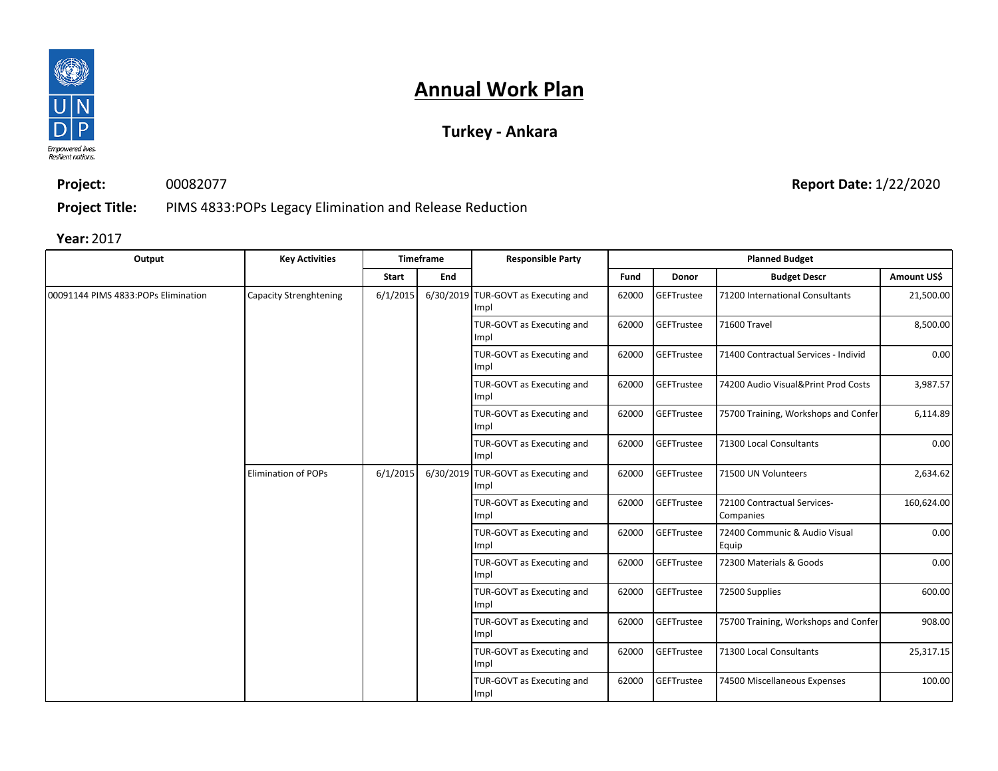

### **Turkey - Ankara**

**Project:** 00082077 **Report Date:** 1/22/2020

**Project Title:** PIMS 4833:POPs Legacy Elimination and Release Reduction

| Output                              | <b>Key Activities</b>         |              | <b>Timeframe</b> | <b>Responsible Party</b>                    |       |                   | <b>Planned Budget</b>                    |             |  |  |  |  |  |  |  |  |  |  |  |  |  |  |  |  |  |  |  |  |  |  |  |  |  |  |  |  |  |  |                                   |       |            |                         |           |
|-------------------------------------|-------------------------------|--------------|------------------|---------------------------------------------|-------|-------------------|------------------------------------------|-------------|--|--|--|--|--|--|--|--|--|--|--|--|--|--|--|--|--|--|--|--|--|--|--|--|--|--|--|--|--|--|-----------------------------------|-------|------------|-------------------------|-----------|
|                                     |                               | <b>Start</b> | End              |                                             | Fund  | Donor             | <b>Budget Descr</b>                      | Amount US\$ |  |  |  |  |  |  |  |  |  |  |  |  |  |  |  |  |  |  |  |  |  |  |  |  |  |  |  |  |  |  |                                   |       |            |                         |           |
| 00091144 PIMS 4833:POPs Elimination | <b>Capacity Strenghtening</b> | 6/1/2015     |                  | 6/30/2019 TUR-GOVT as Executing and<br>Impl | 62000 | GEFTrustee        | 71200 International Consultants          | 21,500.00   |  |  |  |  |  |  |  |  |  |  |  |  |  |  |  |  |  |  |  |  |  |  |  |  |  |  |  |  |  |  |                                   |       |            |                         |           |
|                                     |                               |              |                  | TUR-GOVT as Executing and<br>Impl           | 62000 | <b>GEFTrustee</b> | 71600 Travel                             | 8,500.00    |  |  |  |  |  |  |  |  |  |  |  |  |  |  |  |  |  |  |  |  |  |  |  |  |  |  |  |  |  |  |                                   |       |            |                         |           |
|                                     |                               |              |                  | TUR-GOVT as Executing and<br>Impl           | 62000 | GEFTrustee        | 71400 Contractual Services - Individ     | 0.00        |  |  |  |  |  |  |  |  |  |  |  |  |  |  |  |  |  |  |  |  |  |  |  |  |  |  |  |  |  |  |                                   |       |            |                         |           |
|                                     |                               |              |                  | TUR-GOVT as Executing and<br>Impl           | 62000 | GEFTrustee        | 74200 Audio Visual&Print Prod Costs      | 3,987.57    |  |  |  |  |  |  |  |  |  |  |  |  |  |  |  |  |  |  |  |  |  |  |  |  |  |  |  |  |  |  |                                   |       |            |                         |           |
|                                     |                               |              |                  | TUR-GOVT as Executing and<br>Impl           | 62000 | <b>GEFTrustee</b> | 75700 Training, Workshops and Confer     | 6,114.89    |  |  |  |  |  |  |  |  |  |  |  |  |  |  |  |  |  |  |  |  |  |  |  |  |  |  |  |  |  |  |                                   |       |            |                         |           |
|                                     |                               |              |                  | TUR-GOVT as Executing and<br>Impl           | 62000 | GEFTrustee        | 71300 Local Consultants                  | 0.00        |  |  |  |  |  |  |  |  |  |  |  |  |  |  |  |  |  |  |  |  |  |  |  |  |  |  |  |  |  |  |                                   |       |            |                         |           |
|                                     | <b>Elimination of POPs</b>    | 6/1/2015     |                  | 6/30/2019 TUR-GOVT as Executing and<br>Impl | 62000 | GEFTrustee        | 71500 UN Volunteers                      | 2,634.62    |  |  |  |  |  |  |  |  |  |  |  |  |  |  |  |  |  |  |  |  |  |  |  |  |  |  |  |  |  |  |                                   |       |            |                         |           |
|                                     |                               |              |                  | TUR-GOVT as Executing and<br>Impl           | 62000 | GEFTrustee        | 72100 Contractual Services-<br>Companies | 160,624.00  |  |  |  |  |  |  |  |  |  |  |  |  |  |  |  |  |  |  |  |  |  |  |  |  |  |  |  |  |  |  |                                   |       |            |                         |           |
|                                     |                               |              |                  | TUR-GOVT as Executing and<br>Impl           | 62000 | GEFTrustee        | 72400 Communic & Audio Visual<br>Equip   | 0.00        |  |  |  |  |  |  |  |  |  |  |  |  |  |  |  |  |  |  |  |  |  |  |  |  |  |  |  |  |  |  |                                   |       |            |                         |           |
|                                     |                               |              |                  | TUR-GOVT as Executing and<br>Impl           | 62000 | GEFTrustee        | 72300 Materials & Goods                  | 0.00        |  |  |  |  |  |  |  |  |  |  |  |  |  |  |  |  |  |  |  |  |  |  |  |  |  |  |  |  |  |  |                                   |       |            |                         |           |
|                                     |                               |              |                  | TUR-GOVT as Executing and<br>Impl           | 62000 | GEFTrustee        | 72500 Supplies                           | 600.00      |  |  |  |  |  |  |  |  |  |  |  |  |  |  |  |  |  |  |  |  |  |  |  |  |  |  |  |  |  |  |                                   |       |            |                         |           |
|                                     |                               |              |                  | TUR-GOVT as Executing and<br>Impl           | 62000 | GEFTrustee        | 75700 Training, Workshops and Confer     | 908.00      |  |  |  |  |  |  |  |  |  |  |  |  |  |  |  |  |  |  |  |  |  |  |  |  |  |  |  |  |  |  |                                   |       |            |                         |           |
|                                     |                               |              |                  |                                             |       |                   |                                          |             |  |  |  |  |  |  |  |  |  |  |  |  |  |  |  |  |  |  |  |  |  |  |  |  |  |  |  |  |  |  | TUR-GOVT as Executing and<br>Impl | 62000 | GEFTrustee | 71300 Local Consultants | 25,317.15 |
|                                     |                               |              |                  | TUR-GOVT as Executing and<br>Impl           | 62000 | GEFTrustee        | 74500 Miscellaneous Expenses             | 100.00      |  |  |  |  |  |  |  |  |  |  |  |  |  |  |  |  |  |  |  |  |  |  |  |  |  |  |  |  |  |  |                                   |       |            |                         |           |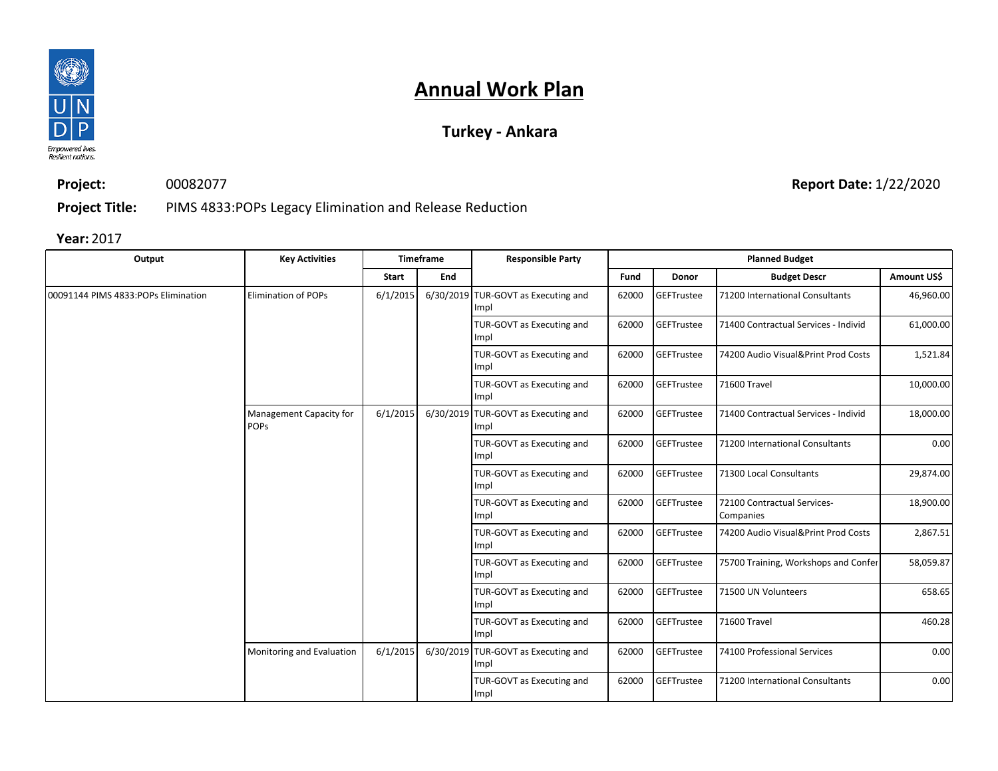

### **Turkey - Ankara**

**Project:** 00082077

**Report Date:** 1/22/2020

**Project Title:** PIMS 4833:POPs Legacy Elimination and Release Reduction

| Output                              | <b>Key Activities</b>                  |              | Timeframe | <b>Responsible Party</b>                    |       |                   | <b>Planned Budget</b>                    |             |
|-------------------------------------|----------------------------------------|--------------|-----------|---------------------------------------------|-------|-------------------|------------------------------------------|-------------|
|                                     |                                        | <b>Start</b> | End       |                                             | Fund  | Donor             | <b>Budget Descr</b>                      | Amount US\$ |
| 00091144 PIMS 4833:POPs Elimination | <b>Elimination of POPs</b>             | 6/1/2015     |           | 6/30/2019 TUR-GOVT as Executing and<br>Impl | 62000 | GEFTrustee        | 71200 International Consultants          | 46,960.00   |
|                                     |                                        |              |           | TUR-GOVT as Executing and<br>Impl           | 62000 | <b>GEFTrustee</b> | 71400 Contractual Services - Individ     | 61,000.00   |
|                                     |                                        |              |           | TUR-GOVT as Executing and<br>Impl           | 62000 | GEFTrustee        | 74200 Audio Visual&Print Prod Costs      | 1,521.84    |
|                                     |                                        |              |           | TUR-GOVT as Executing and<br>Impl           | 62000 | GEFTrustee        | 71600 Travel                             | 10,000.00   |
|                                     | Management Capacity for<br><b>POPS</b> | 6/1/2015     |           | 6/30/2019 TUR-GOVT as Executing and<br>Impl | 62000 | GEFTrustee        | 71400 Contractual Services - Individ     | 18,000.00   |
|                                     |                                        |              |           | TUR-GOVT as Executing and<br>Impl           | 62000 | GEFTrustee        | 71200 International Consultants          | 0.00        |
|                                     |                                        |              |           | TUR-GOVT as Executing and<br>Impl           | 62000 | GEFTrustee        | 71300 Local Consultants                  | 29,874.00   |
|                                     |                                        |              |           | TUR-GOVT as Executing and<br>Impl           | 62000 | GEFTrustee        | 72100 Contractual Services-<br>Companies | 18,900.00   |
|                                     |                                        |              |           | TUR-GOVT as Executing and<br>Impl           | 62000 | GEFTrustee        | 74200 Audio Visual&Print Prod Costs      | 2,867.51    |
|                                     |                                        |              |           | TUR-GOVT as Executing and<br>Impl           | 62000 | GEFTrustee        | 75700 Training, Workshops and Confer     | 58,059.87   |
|                                     |                                        |              |           | TUR-GOVT as Executing and<br>Impl           | 62000 | GEFTrustee        | 71500 UN Volunteers                      | 658.65      |
|                                     |                                        |              |           | TUR-GOVT as Executing and<br>Impl           | 62000 | GEFTrustee        | 71600 Travel                             | 460.28      |
|                                     | Monitoring and Evaluation              | 6/1/2015     |           | 6/30/2019 TUR-GOVT as Executing and<br>Impl | 62000 | GEFTrustee        | 74100 Professional Services              | 0.00        |
|                                     |                                        |              |           | TUR-GOVT as Executing and<br>Impl           | 62000 | GEFTrustee        | 71200 International Consultants          | 0.00        |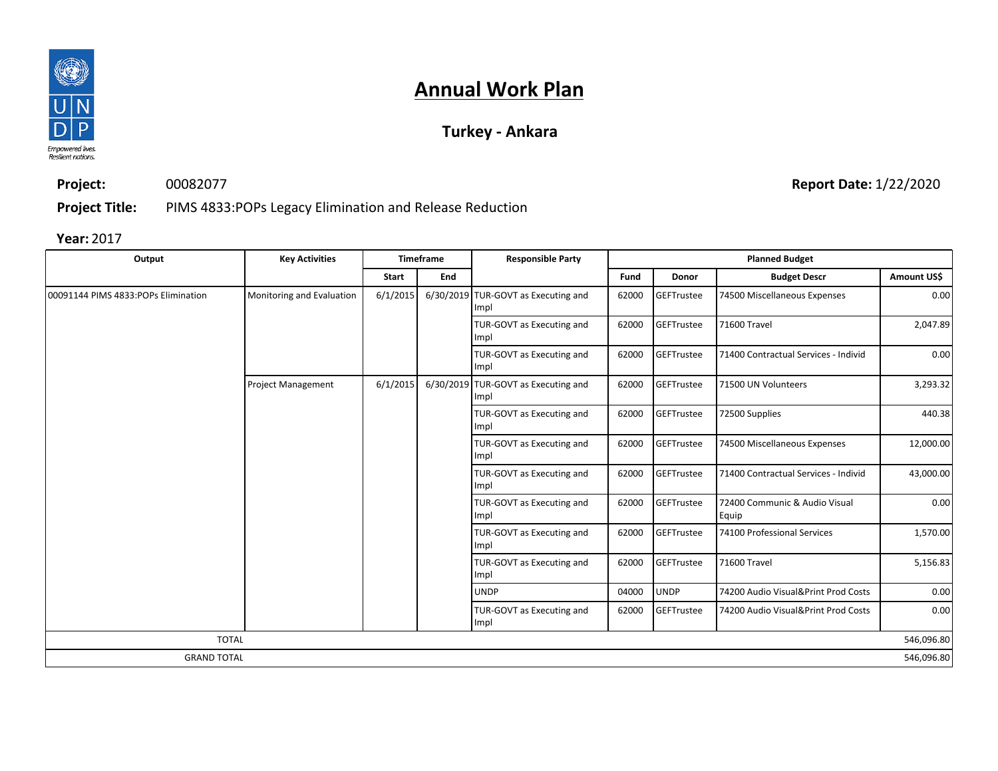

### **Turkey - Ankara**

**Project:** 00082077

**Report Date:** 1/22/2020

**Project Title:** PIMS 4833:POPs Legacy Elimination and Release Reduction

| Output                              | <b>Key Activities</b>     |          | <b>Timeframe</b>                  | <b>Responsible Party</b>                    |                                            |             | <b>Planned Budget</b>                  |             |  |
|-------------------------------------|---------------------------|----------|-----------------------------------|---------------------------------------------|--------------------------------------------|-------------|----------------------------------------|-------------|--|
|                                     |                           | Start    | End                               |                                             | Fund                                       | Donor       | <b>Budget Descr</b>                    | Amount US\$ |  |
| 00091144 PIMS 4833:POPs Elimination | Monitoring and Evaluation | 6/1/2015 |                                   | 6/30/2019 TUR-GOVT as Executing and<br>Impl | 62000                                      | GEFTrustee  | 74500 Miscellaneous Expenses           | 0.00        |  |
|                                     |                           |          |                                   | TUR-GOVT as Executing and<br>Impl           | 62000                                      | GEFTrustee  | 71600 Travel                           | 2,047.89    |  |
|                                     |                           |          |                                   | TUR-GOVT as Executing and<br>Impl           | 62000                                      | GEFTrustee  | 71400 Contractual Services - Individ   | 0.00        |  |
|                                     | <b>Project Management</b> | 6/1/2015 |                                   | 6/30/2019 TUR-GOVT as Executing and<br>Impl | 62000                                      | GEFTrustee  | 71500 UN Volunteers                    | 3,293.32    |  |
|                                     |                           |          |                                   | TUR-GOVT as Executing and<br>Impl           | 62000                                      | GEFTrustee  | 72500 Supplies                         | 440.38      |  |
|                                     |                           |          | TUR-GOVT as Executing and<br>Impl | 62000                                       | GEFTrustee<br>74500 Miscellaneous Expenses |             |                                        |             |  |
|                                     |                           |          |                                   | TUR-GOVT as Executing and<br>Impl           | 62000                                      | GEFTrustee  | 71400 Contractual Services - Individ   | 43,000.00   |  |
|                                     |                           |          |                                   | TUR-GOVT as Executing and<br>Impl           | 62000                                      | GEFTrustee  | 72400 Communic & Audio Visual<br>Equip | 0.00        |  |
|                                     |                           |          |                                   | TUR-GOVT as Executing and<br>Impl           | 62000                                      | GEFTrustee  | 74100 Professional Services            | 1,570.00    |  |
|                                     |                           |          |                                   | TUR-GOVT as Executing and<br>Impl           | 62000                                      | GEFTrustee  | 71600 Travel                           | 5,156.83    |  |
|                                     |                           |          |                                   | <b>UNDP</b>                                 | 04000                                      | <b>UNDP</b> | 74200 Audio Visual&Print Prod Costs    | 0.00        |  |
|                                     |                           |          |                                   | TUR-GOVT as Executing and<br>Impl           | 62000                                      | GEFTrustee  | 74200 Audio Visual&Print Prod Costs    | 0.00        |  |
| <b>TOTAL</b>                        |                           |          |                                   |                                             |                                            |             |                                        | 546,096.80  |  |
| <b>GRAND TOTAL</b>                  |                           |          |                                   |                                             |                                            |             |                                        | 546,096.80  |  |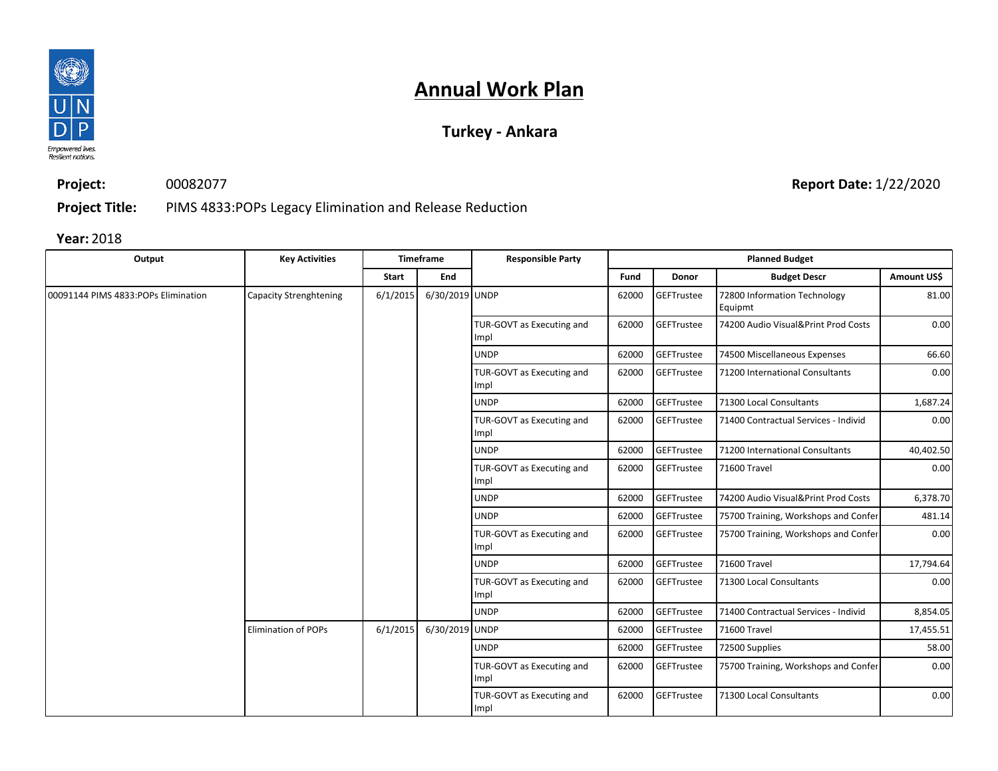

### **Turkey - Ankara**

**Project:** 00082077

**Report Date:** 1/22/2020

**Project Title:** PIMS 4833:POPs Legacy Elimination and Release Reduction

| Output                              | <b>Key Activities</b>      |              | <b>Timeframe</b> | <b>Responsible Party</b>          |                   |                   | <b>Planned Budget</b>                   |             |
|-------------------------------------|----------------------------|--------------|------------------|-----------------------------------|-------------------|-------------------|-----------------------------------------|-------------|
|                                     |                            | <b>Start</b> | End              |                                   | Fund              | <b>Donor</b>      | <b>Budget Descr</b>                     | Amount US\$ |
| 00091144 PIMS 4833:POPs Elimination | Capacity Strenghtening     | 6/1/2015     | 6/30/2019 UNDP   |                                   | 62000             | GEFTrustee        | 72800 Information Technology<br>Equipmt | 81.00       |
|                                     |                            |              |                  | TUR-GOVT as Executing and<br>Impl | 62000             | <b>GEFTrustee</b> | 74200 Audio Visual&Print Prod Costs     | 0.00        |
|                                     |                            |              |                  | <b>UNDP</b>                       | 62000             | GEFTrustee        | 74500 Miscellaneous Expenses            | 66.60       |
|                                     |                            |              |                  | TUR-GOVT as Executing and<br>Impl | 62000             | GEFTrustee        | 71200 International Consultants         | 0.00        |
|                                     |                            |              |                  | <b>UNDP</b>                       | 62000             | GEFTrustee        | 71300 Local Consultants                 | 1,687.24    |
|                                     |                            |              |                  | TUR-GOVT as Executing and<br>Impl | 62000             | GEFTrustee        | 71400 Contractual Services - Individ    | 0.00        |
|                                     |                            |              |                  | <b>UNDP</b>                       | 62000             | GEFTrustee        | 71200 International Consultants         | 40,402.50   |
|                                     |                            |              |                  | TUR-GOVT as Executing and<br>Impl | 62000             | <b>GEFTrustee</b> | 71600 Travel                            | 0.00        |
|                                     |                            |              |                  | <b>UNDP</b>                       | 62000             | GEFTrustee        | 74200 Audio Visual&Print Prod Costs     | 6,378.70    |
|                                     |                            |              |                  | <b>UNDP</b>                       | 62000             | GEFTrustee        | 75700 Training, Workshops and Confer    | 481.14      |
|                                     |                            |              |                  | TUR-GOVT as Executing and<br>Impl | 62000             | GEFTrustee        | 75700 Training, Workshops and Confer    | 0.00        |
|                                     |                            |              |                  | <b>UNDP</b>                       | 62000             | GEFTrustee        | 71600 Travel                            | 17,794.64   |
|                                     |                            |              |                  | TUR-GOVT as Executing and<br>Impl | 62000             | GEFTrustee        | 71300 Local Consultants                 | 0.00        |
|                                     |                            |              |                  | <b>UNDP</b>                       | 62000             | <b>GEFTrustee</b> | 71400 Contractual Services - Individ    | 8,854.05    |
|                                     | <b>Elimination of POPs</b> | 6/1/2015     | 6/30/2019 UNDP   |                                   | 62000             | <b>GEFTrustee</b> | 71600 Travel                            | 17,455.51   |
|                                     |                            |              | <b>UNDP</b>      | 62000                             | <b>GEFTrustee</b> | 72500 Supplies    | 58.00                                   |             |
|                                     |                            |              |                  | TUR-GOVT as Executing and<br>Impl | 62000             | GEFTrustee        | 75700 Training, Workshops and Confer    | 0.00        |
|                                     |                            |              |                  | TUR-GOVT as Executing and<br>Impl | 62000             | <b>GEFTrustee</b> | 71300 Local Consultants                 | 0.00        |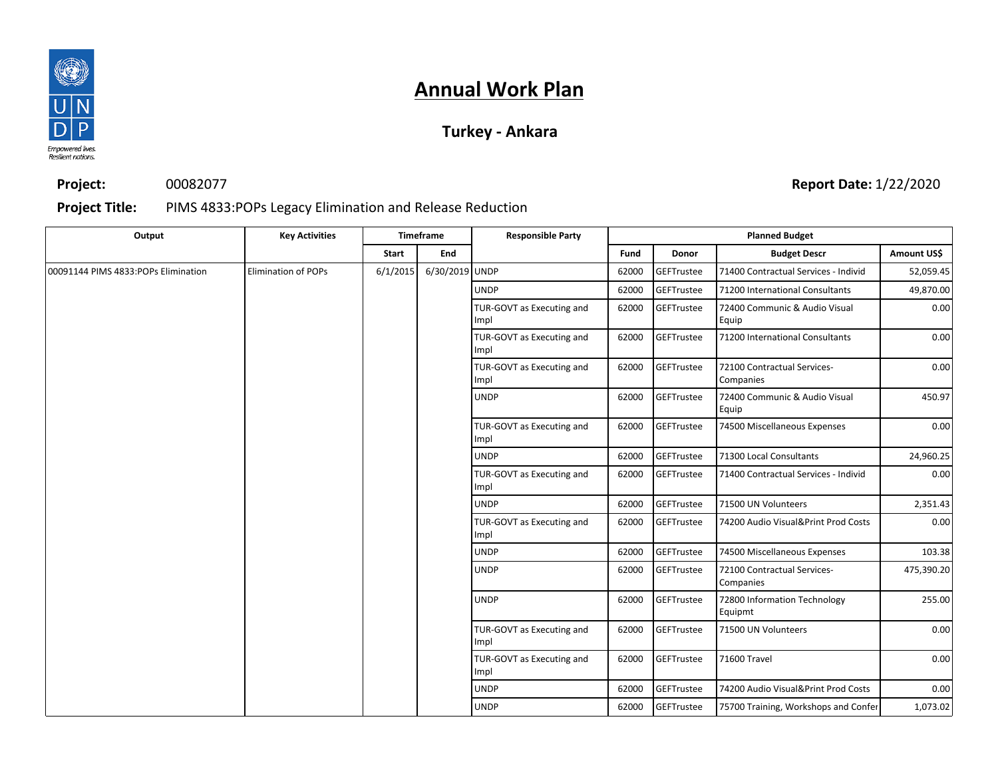

### **Turkey - Ankara**

**Project:** 00082077

#### **Report Date:** 1/22/2020

#### **Project Title:** PIMS 4833:POPs Legacy Elimination and Release Reduction

| Output                              | <b>Key Activities</b>      |              | Timeframe                         | <b>Responsible Party</b>          |                                   |                         | <b>Planned Budget</b>                    |                                          |          |  |  |  |  |  |  |  |  |  |  |  |  |  |  |  |  |  |  |             |       |                   |                                     |      |                                   |       |            |              |      |
|-------------------------------------|----------------------------|--------------|-----------------------------------|-----------------------------------|-----------------------------------|-------------------------|------------------------------------------|------------------------------------------|----------|--|--|--|--|--|--|--|--|--|--|--|--|--|--|--|--|--|--|-------------|-------|-------------------|-------------------------------------|------|-----------------------------------|-------|------------|--------------|------|
|                                     |                            | <b>Start</b> | End                               |                                   | Fund                              | Donor                   | <b>Budget Descr</b>                      | Amount US\$                              |          |  |  |  |  |  |  |  |  |  |  |  |  |  |  |  |  |  |  |             |       |                   |                                     |      |                                   |       |            |              |      |
| 00091144 PIMS 4833:POPs Elimination | <b>Elimination of POPs</b> | 6/1/2015     | 6/30/2019 UNDP                    |                                   | 62000                             | GEFTrustee              | 71400 Contractual Services - Individ     | 52,059.45                                |          |  |  |  |  |  |  |  |  |  |  |  |  |  |  |  |  |  |  |             |       |                   |                                     |      |                                   |       |            |              |      |
|                                     |                            |              |                                   | <b>UNDP</b>                       | 62000                             | GEFTrustee              | 71200 International Consultants          | 49,870.00                                |          |  |  |  |  |  |  |  |  |  |  |  |  |  |  |  |  |  |  |             |       |                   |                                     |      |                                   |       |            |              |      |
|                                     |                            |              |                                   | TUR-GOVT as Executing and<br>Impl | 62000                             | GEFTrustee              | 72400 Communic & Audio Visual<br>Equip   | 0.00                                     |          |  |  |  |  |  |  |  |  |  |  |  |  |  |  |  |  |  |  |             |       |                   |                                     |      |                                   |       |            |              |      |
|                                     |                            |              |                                   | TUR-GOVT as Executing and<br>Impl | 62000                             | <b>GEFTrustee</b>       | 71200 International Consultants          | 0.00                                     |          |  |  |  |  |  |  |  |  |  |  |  |  |  |  |  |  |  |  |             |       |                   |                                     |      |                                   |       |            |              |      |
|                                     |                            |              |                                   |                                   | TUR-GOVT as Executing and<br>Impl | 62000                   | GEFTrustee                               | 72100 Contractual Services-<br>Companies | 0.00     |  |  |  |  |  |  |  |  |  |  |  |  |  |  |  |  |  |  |             |       |                   |                                     |      |                                   |       |            |              |      |
|                                     |                            |              |                                   | <b>UNDP</b>                       | 62000                             | GEFTrustee              | 72400 Communic & Audio Visual<br>Equip   | 450.97                                   |          |  |  |  |  |  |  |  |  |  |  |  |  |  |  |  |  |  |  |             |       |                   |                                     |      |                                   |       |            |              |      |
|                                     |                            |              |                                   | TUR-GOVT as Executing and<br>Impl | 62000                             | GEFTrustee              | 74500 Miscellaneous Expenses             | 0.00                                     |          |  |  |  |  |  |  |  |  |  |  |  |  |  |  |  |  |  |  |             |       |                   |                                     |      |                                   |       |            |              |      |
|                                     |                            |              | <b>UNDP</b>                       | 62000                             | GEFTrustee                        | 71300 Local Consultants | 24,960.25                                |                                          |          |  |  |  |  |  |  |  |  |  |  |  |  |  |  |  |  |  |  |             |       |                   |                                     |      |                                   |       |            |              |      |
|                                     |                            |              |                                   | TUR-GOVT as Executing and<br>Impl | 62000                             | GEFTrustee              | 71400 Contractual Services - Individ     | 0.00                                     |          |  |  |  |  |  |  |  |  |  |  |  |  |  |  |  |  |  |  |             |       |                   |                                     |      |                                   |       |            |              |      |
|                                     |                            |              |                                   |                                   | <b>UNDP</b>                       | 62000                   | <b>GEFTrustee</b>                        | 71500 UN Volunteers                      | 2,351.43 |  |  |  |  |  |  |  |  |  |  |  |  |  |  |  |  |  |  |             |       |                   |                                     |      |                                   |       |            |              |      |
|                                     |                            |              |                                   | TUR-GOVT as Executing and<br>Impl | 62000                             | GEFTrustee              | 74200 Audio Visual&Print Prod Costs      | 0.00                                     |          |  |  |  |  |  |  |  |  |  |  |  |  |  |  |  |  |  |  |             |       |                   |                                     |      |                                   |       |            |              |      |
|                                     |                            |              |                                   | <b>UNDP</b>                       | 62000                             | GEFTrustee              | 74500 Miscellaneous Expenses             | 103.38                                   |          |  |  |  |  |  |  |  |  |  |  |  |  |  |  |  |  |  |  |             |       |                   |                                     |      |                                   |       |            |              |      |
|                                     |                            |              |                                   | <b>UNDP</b>                       | 62000                             | GEFTrustee              | 72100 Contractual Services-<br>Companies | 475,390.20                               |          |  |  |  |  |  |  |  |  |  |  |  |  |  |  |  |  |  |  |             |       |                   |                                     |      |                                   |       |            |              |      |
|                                     |                            |              |                                   | <b>UNDP</b>                       | 62000                             | <b>GEFTrustee</b>       | 72800 Information Technology<br>Equipmt  | 255.00                                   |          |  |  |  |  |  |  |  |  |  |  |  |  |  |  |  |  |  |  |             |       |                   |                                     |      |                                   |       |            |              |      |
|                                     |                            |              | TUR-GOVT as Executing and<br>Impl | 62000                             | GEFTrustee                        | 71500 UN Volunteers     | 0.00                                     |                                          |          |  |  |  |  |  |  |  |  |  |  |  |  |  |  |  |  |  |  |             |       |                   |                                     |      |                                   |       |            |              |      |
|                                     |                            |              |                                   |                                   |                                   |                         |                                          |                                          |          |  |  |  |  |  |  |  |  |  |  |  |  |  |  |  |  |  |  |             |       |                   |                                     |      | TUR-GOVT as Executing and<br>Impl | 62000 | GEFTrustee | 71600 Travel | 0.00 |
|                                     |                            |              |                                   |                                   |                                   |                         |                                          |                                          |          |  |  |  |  |  |  |  |  |  |  |  |  |  |  |  |  |  |  | <b>UNDP</b> | 62000 | <b>GEFTrustee</b> | 74200 Audio Visual&Print Prod Costs | 0.00 |                                   |       |            |              |      |
|                                     |                            |              |                                   | <b>UNDP</b>                       | 62000                             | GEFTrustee              | 75700 Training, Workshops and Confer     | 1,073.02                                 |          |  |  |  |  |  |  |  |  |  |  |  |  |  |  |  |  |  |  |             |       |                   |                                     |      |                                   |       |            |              |      |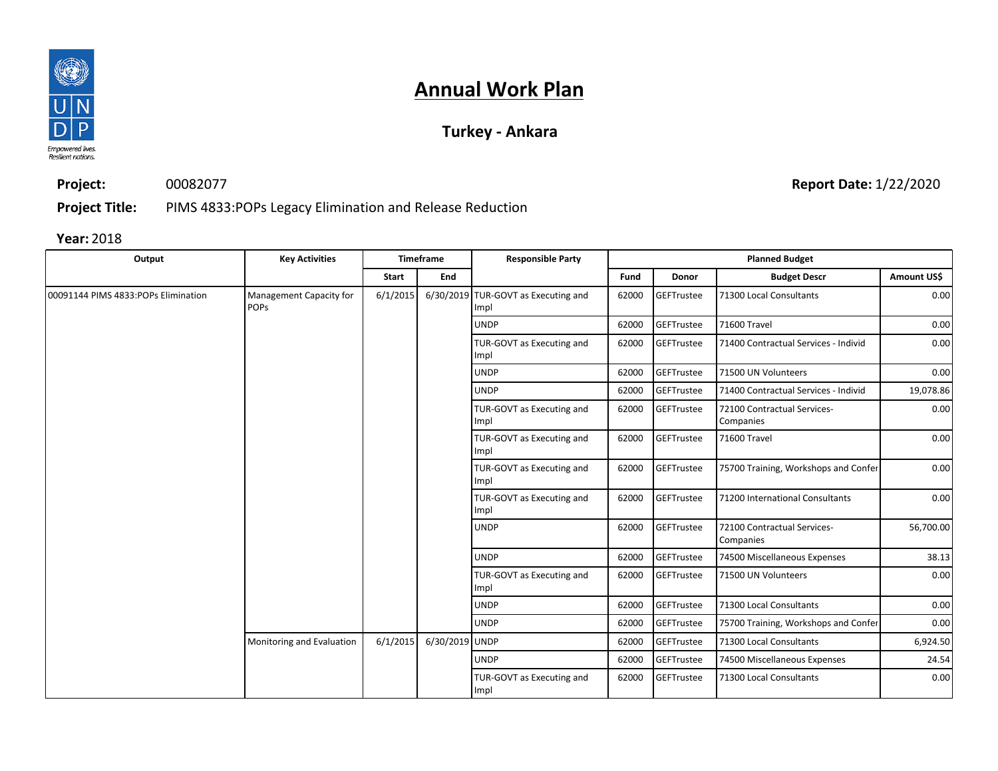

### **Turkey - Ankara**

**Project:** 00082077

**Report Date:** 1/22/2020

**Project Title:** PIMS 4833:POPs Legacy Elimination and Release Reduction

| Output                              | <b>Key Activities</b>                  |          | <b>Timeframe</b> | <b>Responsible Party</b>                    |       |                   | <b>Planned Budget</b>                    |             |  |  |  |  |  |  |  |             |       |            |                         |      |
|-------------------------------------|----------------------------------------|----------|------------------|---------------------------------------------|-------|-------------------|------------------------------------------|-------------|--|--|--|--|--|--|--|-------------|-------|------------|-------------------------|------|
|                                     |                                        | Start    | End              |                                             | Fund  | Donor             | <b>Budget Descr</b>                      | Amount US\$ |  |  |  |  |  |  |  |             |       |            |                         |      |
| 00091144 PIMS 4833:POPs Elimination | Management Capacity for<br><b>POPS</b> | 6/1/2015 |                  | 6/30/2019 TUR-GOVT as Executing and<br>Impl | 62000 | GEFTrustee        | 71300 Local Consultants                  | 0.00        |  |  |  |  |  |  |  |             |       |            |                         |      |
|                                     |                                        |          |                  | <b>UNDP</b>                                 | 62000 | <b>GEFTrustee</b> | 71600 Travel                             | 0.00        |  |  |  |  |  |  |  |             |       |            |                         |      |
|                                     |                                        |          |                  | TUR-GOVT as Executing and<br>Impl           | 62000 | GEFTrustee        | 71400 Contractual Services - Individ     | 0.00        |  |  |  |  |  |  |  |             |       |            |                         |      |
|                                     |                                        |          |                  | <b>UNDP</b>                                 | 62000 | <b>GEFTrustee</b> | 71500 UN Volunteers                      | 0.00        |  |  |  |  |  |  |  |             |       |            |                         |      |
|                                     |                                        |          |                  | <b>UNDP</b>                                 | 62000 | <b>GEFTrustee</b> | 71400 Contractual Services - Individ     | 19,078.86   |  |  |  |  |  |  |  |             |       |            |                         |      |
|                                     |                                        |          |                  | TUR-GOVT as Executing and<br>Impl           | 62000 | GEFTrustee        | 72100 Contractual Services-<br>Companies | 0.00        |  |  |  |  |  |  |  |             |       |            |                         |      |
|                                     |                                        |          |                  | TUR-GOVT as Executing and<br>Impl           | 62000 | GEFTrustee        | 71600 Travel                             | 0.00        |  |  |  |  |  |  |  |             |       |            |                         |      |
|                                     |                                        |          |                  | TUR-GOVT as Executing and<br>Impl           | 62000 | <b>GEFTrustee</b> | 75700 Training, Workshops and Confer     | 0.00        |  |  |  |  |  |  |  |             |       |            |                         |      |
|                                     |                                        |          |                  | TUR-GOVT as Executing and<br>Impl           | 62000 | GEFTrustee        | 71200 International Consultants          | 0.00        |  |  |  |  |  |  |  |             |       |            |                         |      |
|                                     |                                        |          |                  | <b>UNDP</b>                                 | 62000 | GEFTrustee        | 72100 Contractual Services-<br>Companies | 56,700.00   |  |  |  |  |  |  |  |             |       |            |                         |      |
|                                     |                                        |          |                  | <b>UNDP</b>                                 | 62000 | GEFTrustee        | 74500 Miscellaneous Expenses             | 38.13       |  |  |  |  |  |  |  |             |       |            |                         |      |
|                                     |                                        |          |                  | TUR-GOVT as Executing and<br>Impl           | 62000 | GEFTrustee        | 71500 UN Volunteers                      | 0.00        |  |  |  |  |  |  |  |             |       |            |                         |      |
|                                     |                                        |          |                  |                                             |       |                   |                                          |             |  |  |  |  |  |  |  | <b>UNDP</b> | 62000 | GEFTrustee | 71300 Local Consultants | 0.00 |
|                                     |                                        |          |                  | <b>UNDP</b>                                 | 62000 | GEFTrustee        | 75700 Training, Workshops and Confer     | 0.00        |  |  |  |  |  |  |  |             |       |            |                         |      |
|                                     | Monitoring and Evaluation              | 6/1/2015 | 6/30/2019 UNDP   |                                             | 62000 | <b>GEFTrustee</b> | 71300 Local Consultants                  | 6,924.50    |  |  |  |  |  |  |  |             |       |            |                         |      |
|                                     |                                        |          |                  | <b>UNDP</b>                                 | 62000 | GEFTrustee        | 74500 Miscellaneous Expenses             | 24.54       |  |  |  |  |  |  |  |             |       |            |                         |      |
|                                     |                                        |          |                  | TUR-GOVT as Executing and<br>Impl           | 62000 | GEFTrustee        | 71300 Local Consultants                  | 0.00        |  |  |  |  |  |  |  |             |       |            |                         |      |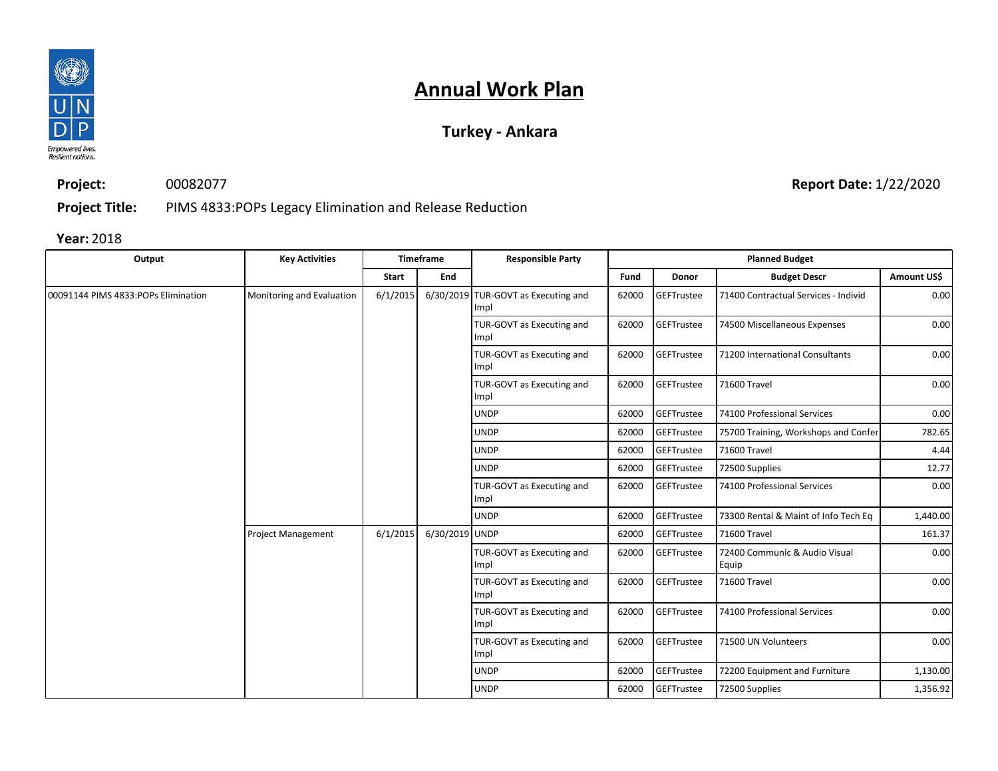

### **Turkey - Ankara**

**Project:** 00082077 **Report Date:** 1/22/2020

**Project Title:** PIMS 4833:POPs Legacy Elimination and Release Reduction

| Output                              | <b>Key Activities</b>     |          | <b>Timeframe</b> | <b>Responsible Party</b>                    |       |                   | <b>Planned Budget</b>                  |             |
|-------------------------------------|---------------------------|----------|------------------|---------------------------------------------|-------|-------------------|----------------------------------------|-------------|
|                                     |                           | Start    | End              |                                             | Fund  | Donor             | <b>Budget Descr</b>                    | Amount US\$ |
| 00091144 PIMS 4833:POPs Elimination | Monitoring and Evaluation | 6/1/2015 |                  | 6/30/2019 TUR-GOVT as Executing and<br>Impl | 62000 | <b>GEFTrustee</b> | 71400 Contractual Services - Individ   | 0.00        |
|                                     |                           |          |                  | TUR-GOVT as Executing and<br>Impl           | 62000 | <b>GEFTrustee</b> | 74500 Miscellaneous Expenses           | 0.00        |
|                                     |                           |          |                  | TUR-GOVT as Executing and<br>Impl           | 62000 | <b>GEFTrustee</b> | 71200 International Consultants        | 0.00        |
|                                     |                           |          |                  | TUR-GOVT as Executing and<br>Impl           | 62000 | <b>GEFTrustee</b> | 71600 Travel                           | 0.00        |
|                                     |                           |          |                  | <b>UNDP</b>                                 | 62000 | <b>GEFTrustee</b> | 74100 Professional Services            | 0.00        |
|                                     |                           |          |                  | <b>UNDP</b>                                 | 62000 | <b>GEFTrustee</b> | 75700 Training, Workshops and Confer   | 782.65      |
|                                     |                           |          |                  | <b>UNDP</b>                                 | 62000 | <b>GEFTrustee</b> | 71600 Travel                           | 4.44        |
|                                     |                           |          |                  | <b>UNDP</b>                                 | 62000 | <b>GEFTrustee</b> | 72500 Supplies                         | 12.77       |
|                                     |                           |          |                  | TUR-GOVT as Executing and<br>Impl           | 62000 | <b>GEFTrustee</b> | 74100 Professional Services            | 0.00        |
|                                     |                           |          |                  | <b>UNDP</b>                                 | 62000 | <b>GEFTrustee</b> | 73300 Rental & Maint of Info Tech Eq   | 1,440.00    |
|                                     | <b>Project Management</b> | 6/1/2015 | 6/30/2019 UNDP   |                                             | 62000 | GEFTrustee        | 71600 Travel                           | 161.37      |
|                                     |                           |          |                  | TUR-GOVT as Executing and<br>Impl           | 62000 | GEFTrustee        | 72400 Communic & Audio Visual<br>Equip | 0.00        |
|                                     |                           |          |                  | TUR-GOVT as Executing and<br>Impl           | 62000 | GEFTrustee        | 71600 Travel                           | 0.00        |
|                                     |                           |          |                  | TUR-GOVT as Executing and<br>Impl           | 62000 | <b>GEFTrustee</b> | 74100 Professional Services            | 0.00        |
|                                     |                           |          |                  | TUR-GOVT as Executing and<br>Impl           | 62000 | <b>GEFTrustee</b> | 71500 UN Volunteers                    | 0.00        |
|                                     |                           |          |                  | <b>UNDP</b>                                 | 62000 | GEFTrustee        | 72200 Equipment and Furniture          | 1,130.00    |
|                                     |                           |          |                  | <b>UNDP</b>                                 | 62000 | <b>GEFTrustee</b> | 72500 Supplies                         | 1,356.92    |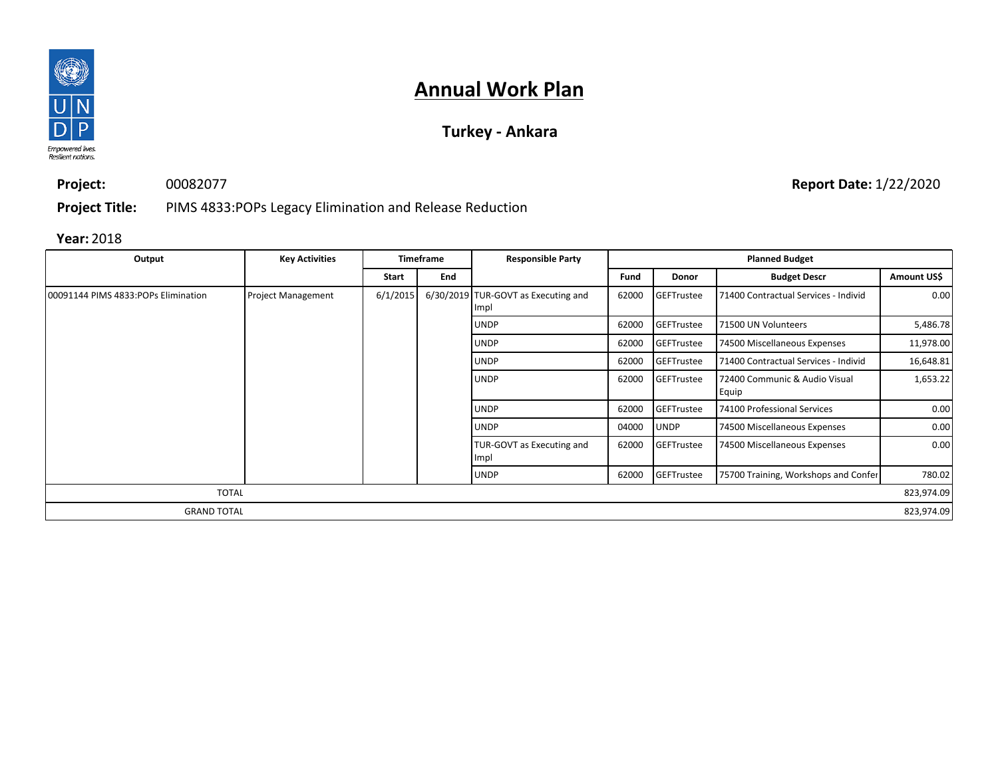

### **Turkey - Ankara**

**Project:** 00082077 **Report Date:** 1/22/2020

**Project Title:** PIMS 4833:POPs Legacy Elimination and Release Reduction

| Output                               | <b>Key Activities</b>     | <b>Responsible Party</b><br><b>Timeframe</b> |     |                                             |       | <b>Planned Budget</b> |                                        |             |
|--------------------------------------|---------------------------|----------------------------------------------|-----|---------------------------------------------|-------|-----------------------|----------------------------------------|-------------|
|                                      |                           | Start                                        | End |                                             | Fund  | <b>Donor</b>          | <b>Budget Descr</b>                    | Amount US\$ |
| 00091144 PIMS 4833: POPs Elimination | <b>Project Management</b> | 6/1/2015                                     |     | 6/30/2019 TUR-GOVT as Executing and<br>Impl | 62000 | GEFTrustee            | 71400 Contractual Services - Individ   | 0.00        |
|                                      |                           |                                              |     | <b>UNDP</b>                                 | 62000 | <b>GEFTrustee</b>     | 71500 UN Volunteers                    | 5,486.78    |
|                                      |                           |                                              |     | <b>UNDP</b>                                 | 62000 | <b>GEFTrustee</b>     | 74500 Miscellaneous Expenses           | 11,978.00   |
|                                      |                           |                                              |     | <b>UNDP</b>                                 | 62000 | <b>GEFTrustee</b>     | 71400 Contractual Services - Individ   | 16,648.81   |
|                                      |                           |                                              |     | <b>UNDP</b>                                 | 62000 | GEFTrustee            | 72400 Communic & Audio Visual<br>Equip | 1,653.22    |
|                                      |                           |                                              |     | <b>UNDP</b>                                 | 62000 | GEFTrustee            | 74100 Professional Services            | 0.00        |
|                                      |                           |                                              |     | <b>UNDP</b>                                 | 04000 | <b>UNDP</b>           | 74500 Miscellaneous Expenses           | 0.00        |
|                                      |                           |                                              |     | TUR-GOVT as Executing and<br>Impl           | 62000 | GEFTrustee            | 74500 Miscellaneous Expenses           | 0.00        |
|                                      |                           |                                              |     | <b>UNDP</b>                                 | 62000 | GEFTrustee            | 75700 Training, Workshops and Confer   | 780.02      |
| <b>TOTAL</b>                         |                           |                                              |     |                                             |       |                       |                                        | 823,974.09  |
| <b>GRAND TOTAL</b>                   |                           |                                              |     |                                             |       |                       |                                        | 823,974.09  |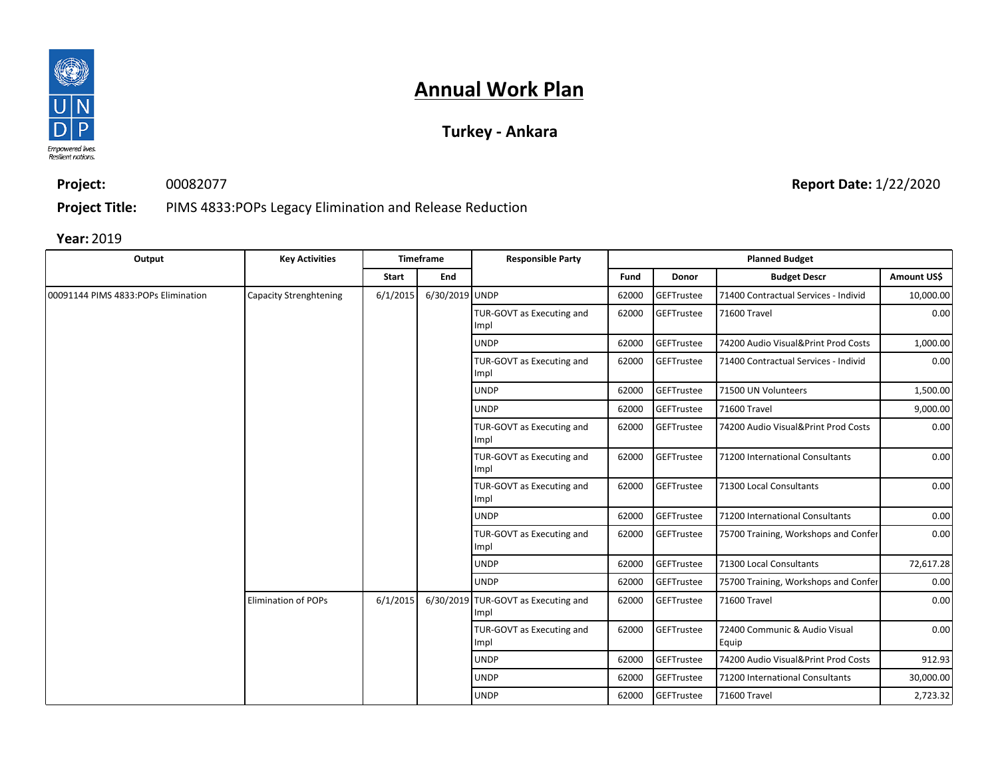

### **Turkey - Ankara**

**Project:** 00082077

**Report Date:** 1/22/2020

**Project Title:** PIMS 4833:POPs Legacy Elimination and Release Reduction

| Output                              | <b>Key Activities</b>         |              | Timeframe                         | <b>Responsible Party</b>                    |            |                                     | <b>Planned Budget</b>                  |             |
|-------------------------------------|-------------------------------|--------------|-----------------------------------|---------------------------------------------|------------|-------------------------------------|----------------------------------------|-------------|
|                                     |                               | <b>Start</b> | End                               |                                             | Fund       | Donor                               | <b>Budget Descr</b>                    | Amount US\$ |
| 00091144 PIMS 4833:POPs Elimination | <b>Capacity Strenghtening</b> | 6/1/2015     | 6/30/2019 UNDP                    |                                             | 62000      | GEFTrustee                          | 71400 Contractual Services - Individ   | 10,000.00   |
|                                     |                               |              |                                   | TUR-GOVT as Executing and<br>Impl           | 62000      | GEFTrustee                          | 71600 Travel                           | 0.00        |
|                                     |                               |              |                                   | <b>UNDP</b>                                 | 62000      | GEFTrustee                          | 74200 Audio Visual&Print Prod Costs    | 1,000.00    |
|                                     |                               |              |                                   | TUR-GOVT as Executing and<br>Impl           | 62000      | GEFTrustee                          | 71400 Contractual Services - Individ   | 0.00        |
|                                     |                               |              |                                   | <b>UNDP</b>                                 | 62000      | GEFTrustee                          | 71500 UN Volunteers                    | 1,500.00    |
|                                     |                               |              |                                   | <b>UNDP</b>                                 | 62000      | GEFTrustee                          | 71600 Travel                           | 9,000.00    |
|                                     |                               |              | TUR-GOVT as Executing and<br>Impl | 62000                                       | GEFTrustee | 74200 Audio Visual&Print Prod Costs | 0.00                                   |             |
|                                     |                               |              |                                   | TUR-GOVT as Executing and<br>Impl           | 62000      | GEFTrustee                          | 71200 International Consultants        | 0.00        |
|                                     |                               |              |                                   | TUR-GOVT as Executing and<br>Impl           | 62000      | GEFTrustee                          | 71300 Local Consultants                | 0.00        |
|                                     |                               |              |                                   | <b>UNDP</b>                                 | 62000      | GEFTrustee                          | 71200 International Consultants        | 0.00        |
|                                     |                               |              |                                   | TUR-GOVT as Executing and<br>Impl           | 62000      | GEFTrustee                          | 75700 Training, Workshops and Confer   | 0.00        |
|                                     |                               |              |                                   | <b>UNDP</b>                                 | 62000      | <b>GEFTrustee</b>                   | 71300 Local Consultants                | 72,617.28   |
|                                     |                               |              |                                   | <b>UNDP</b>                                 | 62000      | GEFTrustee                          | 75700 Training, Workshops and Confer   | 0.00        |
|                                     | <b>Elimination of POPs</b>    | 6/1/2015     |                                   | 6/30/2019 TUR-GOVT as Executing and<br>Impl | 62000      | <b>GEFTrustee</b>                   | 71600 Travel                           | 0.00        |
|                                     |                               |              |                                   | TUR-GOVT as Executing and<br>Impl           | 62000      | GEFTrustee                          | 72400 Communic & Audio Visual<br>Equip | 0.00        |
|                                     |                               |              |                                   | <b>UNDP</b>                                 | 62000      | <b>GEFTrustee</b>                   | 74200 Audio Visual&Print Prod Costs    | 912.93      |
|                                     |                               |              |                                   | <b>UNDP</b>                                 | 62000      | GEFTrustee                          | 71200 International Consultants        | 30,000.00   |
|                                     |                               |              |                                   | <b>UNDP</b>                                 | 62000      | <b>GEFTrustee</b>                   | 71600 Travel                           | 2,723.32    |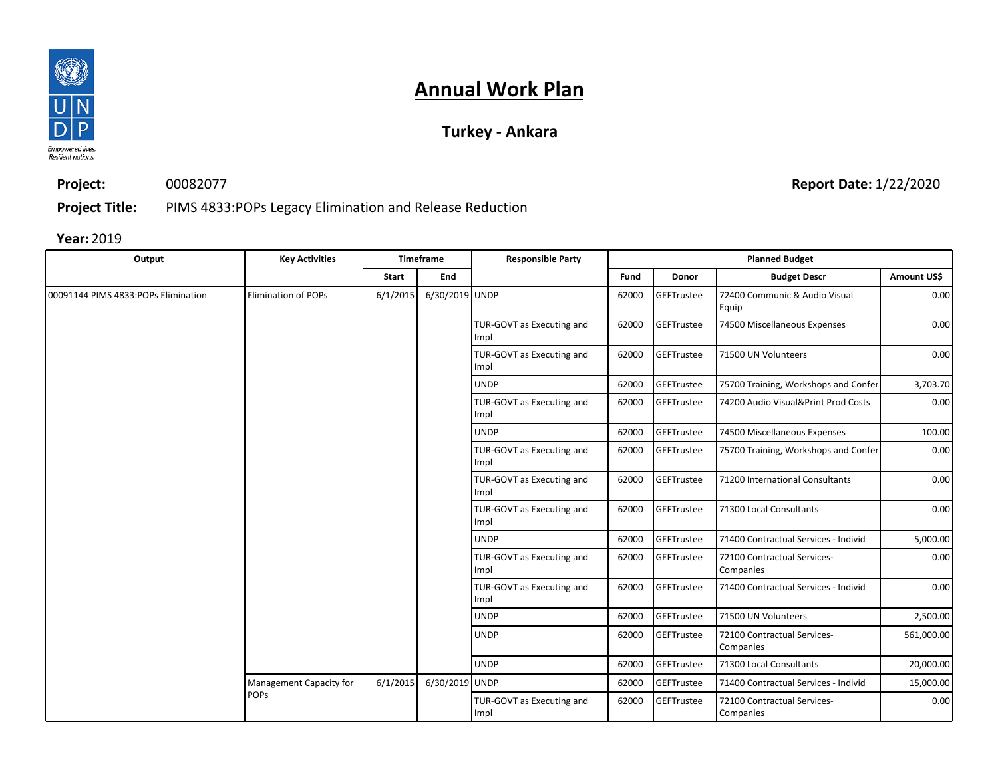

### **Turkey - Ankara**

**Project:** 00082077

**Report Date:** 1/22/2020

**Project Title:** PIMS 4833:POPs Legacy Elimination and Release Reduction

| Output                              | <b>Key Activities</b>      |              | Timeframe      | <b>Responsible Party</b>          |       |                   | <b>Planned Budget</b>                    |             |
|-------------------------------------|----------------------------|--------------|----------------|-----------------------------------|-------|-------------------|------------------------------------------|-------------|
|                                     |                            | <b>Start</b> | End            |                                   | Fund  | <b>Donor</b>      | <b>Budget Descr</b>                      | Amount US\$ |
| 00091144 PIMS 4833:POPs Elimination | <b>Elimination of POPs</b> | 6/1/2015     | 6/30/2019 UNDP |                                   | 62000 | GEFTrustee        | 72400 Communic & Audio Visual<br>Equip   | 0.00        |
|                                     |                            |              |                | TUR-GOVT as Executing and<br>Impl | 62000 | <b>GEFTrustee</b> | 74500 Miscellaneous Expenses             | 0.00        |
|                                     |                            |              |                | TUR-GOVT as Executing and<br>Impl | 62000 | GEFTrustee        | 71500 UN Volunteers                      | 0.00        |
|                                     |                            |              |                | <b>UNDP</b>                       | 62000 | GEFTrustee        | 75700 Training, Workshops and Confer     | 3,703.70    |
|                                     |                            |              |                | TUR-GOVT as Executing and<br>Impl | 62000 | GEFTrustee        | 74200 Audio Visual&Print Prod Costs      | 0.00        |
|                                     |                            |              |                | <b>UNDP</b>                       | 62000 | GEFTrustee        | 74500 Miscellaneous Expenses             | 100.00      |
|                                     |                            |              |                | TUR-GOVT as Executing and<br>Impl | 62000 | GEFTrustee        | 75700 Training, Workshops and Confer     | 0.00        |
|                                     |                            |              |                | TUR-GOVT as Executing and<br>Impl | 62000 | GEFTrustee        | 71200 International Consultants          | 0.00        |
|                                     |                            |              |                | TUR-GOVT as Executing and<br>Impl | 62000 | GEFTrustee        | 71300 Local Consultants                  | 0.00        |
|                                     |                            |              |                | <b>UNDP</b>                       | 62000 | GEFTrustee        | 71400 Contractual Services - Individ     | 5,000.00    |
|                                     |                            |              |                | TUR-GOVT as Executing and<br>Impl | 62000 | GEFTrustee        | 72100 Contractual Services-<br>Companies | 0.00        |
|                                     |                            |              |                | TUR-GOVT as Executing and<br>Impl | 62000 | GEFTrustee        | 71400 Contractual Services - Individ     | 0.00        |
|                                     |                            |              |                | <b>UNDP</b>                       | 62000 | GEFTrustee        | 71500 UN Volunteers                      | 2,500.00    |
|                                     |                            |              |                | <b>UNDP</b>                       | 62000 | GEFTrustee        | 72100 Contractual Services-<br>Companies | 561,000.00  |
|                                     |                            |              |                | <b>UNDP</b>                       | 62000 | GEFTrustee        | 71300 Local Consultants                  | 20,000.00   |
|                                     | Management Capacity for    | 6/1/2015     | 6/30/2019 UNDP |                                   | 62000 | GEFTrustee        | 71400 Contractual Services - Individ     | 15,000.00   |
|                                     | <b>POPS</b>                |              |                | TUR-GOVT as Executing and<br>Impl | 62000 | GEFTrustee        | 72100 Contractual Services-<br>Companies | 0.00        |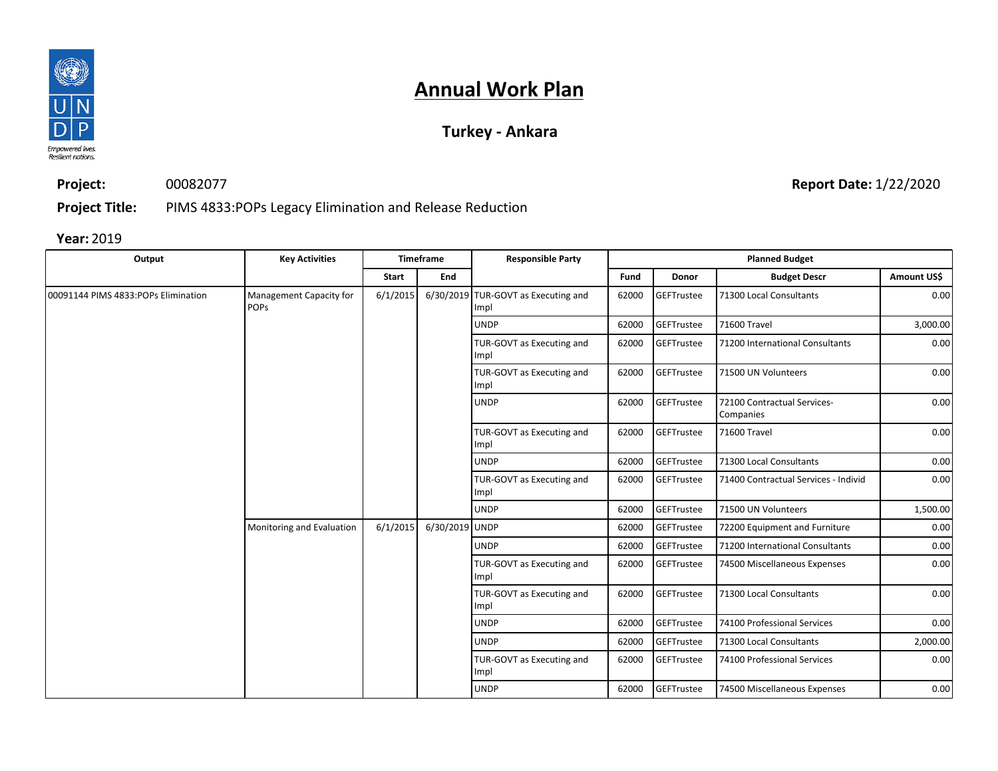

### **Turkey - Ankara**

**Project:** 00082077 **Report Date:** 1/22/2020

**Project Title:** PIMS 4833:POPs Legacy Elimination and Release Reduction

| Output                              | <b>Key Activities</b>                  |          | Timeframe                         | <b>Responsible Party</b>                    |            |                   | <b>Planned Budget</b>                    |             |
|-------------------------------------|----------------------------------------|----------|-----------------------------------|---------------------------------------------|------------|-------------------|------------------------------------------|-------------|
|                                     |                                        | Start    | End                               |                                             | Fund       | Donor             | <b>Budget Descr</b>                      | Amount US\$ |
| 00091144 PIMS 4833:POPs Elimination | Management Capacity for<br><b>POPS</b> | 6/1/2015 |                                   | 6/30/2019 TUR-GOVT as Executing and<br>Impl | 62000      | GEFTrustee        | 71300 Local Consultants                  | 0.00        |
|                                     |                                        |          |                                   | <b>UNDP</b>                                 | 62000      | <b>GEFTrustee</b> | 71600 Travel                             | 3,000.00    |
|                                     |                                        |          |                                   | TUR-GOVT as Executing and<br>Impl           | 62000      | GEFTrustee        | 71200 International Consultants          | 0.00        |
|                                     |                                        |          |                                   | TUR-GOVT as Executing and<br>Impl           | 62000      | <b>GEFTrustee</b> | 71500 UN Volunteers                      | 0.00        |
|                                     |                                        |          |                                   | <b>UNDP</b>                                 | 62000      | <b>GEFTrustee</b> | 72100 Contractual Services-<br>Companies | 0.00        |
|                                     |                                        |          | TUR-GOVT as Executing and<br>Impl | 62000                                       | GEFTrustee | 71600 Travel      | 0.00                                     |             |
|                                     |                                        |          |                                   | <b>UNDP</b>                                 | 62000      | GEFTrustee        | 71300 Local Consultants                  | 0.00        |
|                                     |                                        |          |                                   | TUR-GOVT as Executing and<br>Impl           | 62000      | GEFTrustee        | 71400 Contractual Services - Individ     | 0.00        |
|                                     |                                        |          |                                   | <b>UNDP</b>                                 | 62000      | <b>GEFTrustee</b> | 71500 UN Volunteers                      | 1,500.00    |
|                                     | Monitoring and Evaluation              | 6/1/2015 | 6/30/2019 UNDP                    |                                             | 62000      | <b>GEFTrustee</b> | 72200 Equipment and Furniture            | 0.00        |
|                                     |                                        |          |                                   | <b>UNDP</b>                                 | 62000      | <b>GEFTrustee</b> | 71200 International Consultants          | 0.00        |
|                                     |                                        |          |                                   | TUR-GOVT as Executing and<br>Impl           | 62000      | <b>GEFTrustee</b> | 74500 Miscellaneous Expenses             | 0.00        |
|                                     |                                        |          |                                   | TUR-GOVT as Executing and<br>Impl           | 62000      | GEFTrustee        | 71300 Local Consultants                  | 0.00        |
|                                     |                                        |          |                                   | <b>UNDP</b>                                 | 62000      | <b>GEFTrustee</b> | 74100 Professional Services              | 0.00        |
|                                     |                                        |          |                                   | <b>UNDP</b>                                 | 62000      | <b>GEFTrustee</b> | 71300 Local Consultants                  | 2,000.00    |
|                                     |                                        |          |                                   | TUR-GOVT as Executing and<br>Impl           | 62000      | GEFTrustee        | 74100 Professional Services              | 0.00        |
|                                     |                                        |          |                                   | <b>UNDP</b>                                 | 62000      | <b>GEFTrustee</b> | 74500 Miscellaneous Expenses             | 0.00        |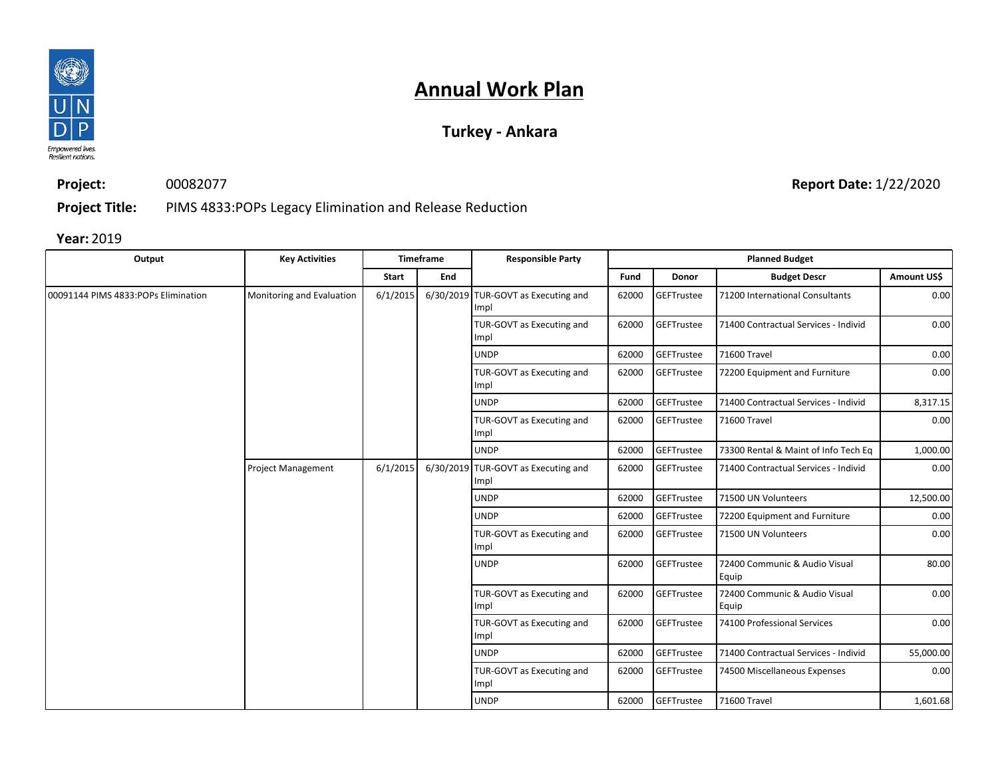

### **Turkey - Ankara**

**Project:** 00082077

**Report Date:** 1/22/2020

**Project Title:** PIMS 4833:POPs Legacy Elimination and Release Reduction

| Output                              | <b>Key Activities</b>     |              | <b>Timeframe</b> | <b>Responsible Party</b>                    |       |                   | <b>Planned Budget</b>                  |             |
|-------------------------------------|---------------------------|--------------|------------------|---------------------------------------------|-------|-------------------|----------------------------------------|-------------|
|                                     |                           | <b>Start</b> | End              |                                             | Fund  | Donor             | <b>Budget Descr</b>                    | Amount US\$ |
| 00091144 PIMS 4833:POPs Elimination | Monitoring and Evaluation | 6/1/2015     |                  | 6/30/2019 TUR-GOVT as Executing and<br>Impl | 62000 | GEFTrustee        | 71200 International Consultants        | 0.00        |
|                                     |                           |              |                  | TUR-GOVT as Executing and<br>Impl           | 62000 | GEFTrustee        | 71400 Contractual Services - Individ   | 0.00        |
|                                     |                           |              |                  | <b>UNDP</b>                                 | 62000 | GEFTrustee        | 71600 Travel                           | 0.00        |
|                                     |                           |              |                  | TUR-GOVT as Executing and<br>Impl           | 62000 | GEFTrustee        | 72200 Equipment and Furniture          | 0.00        |
|                                     |                           |              |                  | <b>UNDP</b>                                 | 62000 | GEFTrustee        | 71400 Contractual Services - Individ   | 8,317.15    |
|                                     |                           |              |                  | TUR-GOVT as Executing and<br>Impl           | 62000 | <b>GEFTrustee</b> | 71600 Travel                           | 0.00        |
|                                     |                           |              |                  | <b>UNDP</b>                                 | 62000 | GEFTrustee        | 73300 Rental & Maint of Info Tech Eq   | 1,000.00    |
|                                     | <b>Project Management</b> | 6/1/2015     |                  | 6/30/2019 TUR-GOVT as Executing and<br>Impl | 62000 | GEFTrustee        | 71400 Contractual Services - Individ   | 0.00        |
|                                     |                           |              |                  | <b>UNDP</b>                                 | 62000 | GEFTrustee        | 71500 UN Volunteers                    | 12,500.00   |
|                                     |                           |              |                  | <b>UNDP</b>                                 | 62000 | GEFTrustee        | 72200 Equipment and Furniture          | 0.00        |
|                                     |                           |              |                  | TUR-GOVT as Executing and<br>Impl           | 62000 | GEFTrustee        | 71500 UN Volunteers                    | 0.00        |
|                                     |                           |              |                  | <b>UNDP</b>                                 | 62000 | GEFTrustee        | 72400 Communic & Audio Visual<br>Equip | 80.00       |
|                                     |                           |              |                  | TUR-GOVT as Executing and<br>Impl           | 62000 | GEFTrustee        | 72400 Communic & Audio Visual<br>Equip | 0.00        |
|                                     |                           |              |                  | TUR-GOVT as Executing and<br>Impl           | 62000 | <b>GEFTrustee</b> | 74100 Professional Services            | 0.00        |
|                                     |                           |              |                  | <b>UNDP</b>                                 | 62000 | <b>GEFTrustee</b> | 71400 Contractual Services - Individ   | 55,000.00   |
|                                     |                           |              |                  | TUR-GOVT as Executing and<br>Impl           | 62000 | <b>GEFTrustee</b> | 74500 Miscellaneous Expenses           | 0.00        |
|                                     |                           |              |                  | <b>UNDP</b>                                 | 62000 | GEFTrustee        | 71600 Travel                           | 1,601.68    |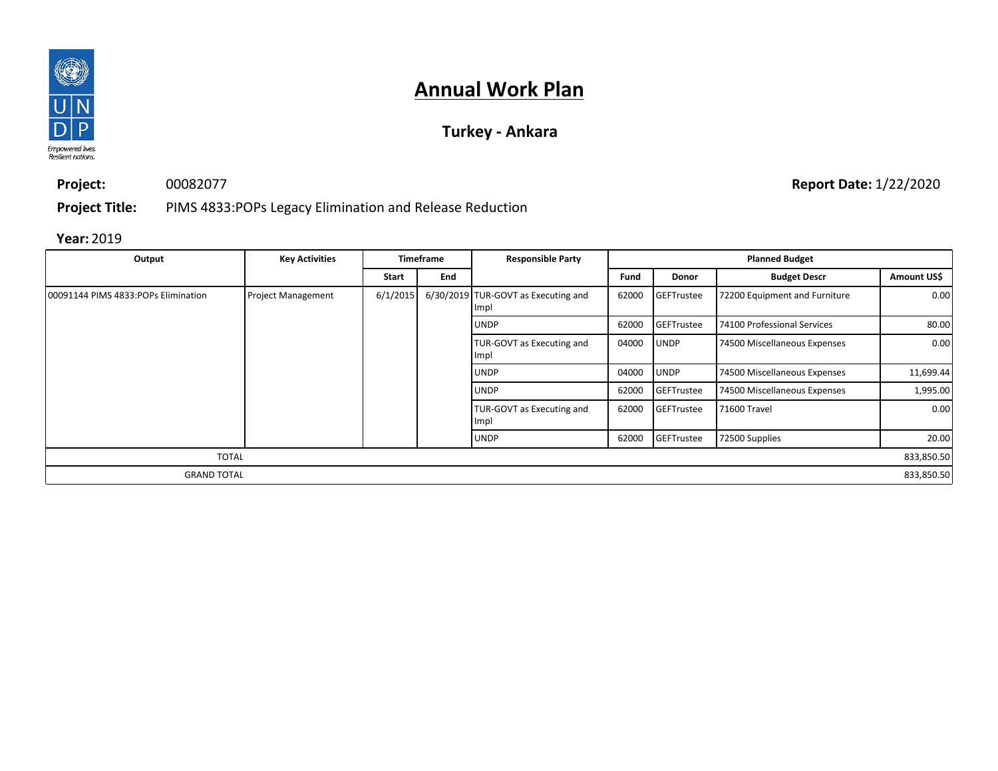

### **Turkey - Ankara**

**Project:** 00082077

**Report Date:** 1/22/2020

**Project Title:** PIMS 4833:POPs Legacy Elimination and Release Reduction

| Output                              | <b>Key Activities</b>     |          | <b>Timeframe</b><br><b>Responsible Party</b> |                                                    |       |                   | <b>Planned Budget</b>         |             |
|-------------------------------------|---------------------------|----------|----------------------------------------------|----------------------------------------------------|-------|-------------------|-------------------------------|-------------|
|                                     |                           | Start    | End                                          |                                                    | Fund  | <b>Donor</b>      | <b>Budget Descr</b>           | Amount US\$ |
| 00091144 PIMS 4833:POPs Elimination | <b>Project Management</b> | 6/1/2015 |                                              | 6/30/2019 TUR-GOVT as Executing and<br><b>Impl</b> | 62000 | <b>GEFTrustee</b> | 72200 Equipment and Furniture | 0.00        |
|                                     |                           |          |                                              | <b>UNDP</b>                                        | 62000 | GEFTrustee        | 74100 Professional Services   | 80.00       |
|                                     |                           |          |                                              | TUR-GOVT as Executing and<br>Impl                  | 04000 | <b>UNDP</b>       | 74500 Miscellaneous Expenses  | 0.00        |
|                                     |                           |          |                                              | <b>UNDP</b>                                        | 04000 | <b>UNDP</b>       | 74500 Miscellaneous Expenses  | 11,699.44   |
|                                     |                           |          |                                              | <b>UNDP</b>                                        | 62000 | GEFTrustee        | 74500 Miscellaneous Expenses  | 1,995.00    |
|                                     |                           |          |                                              | TUR-GOVT as Executing and<br>Impl                  | 62000 | <b>GEFTrustee</b> | 71600 Travel                  | 0.00        |
|                                     |                           |          |                                              | <b>UNDP</b>                                        | 62000 | <b>GEFTrustee</b> | 72500 Supplies                | 20.00       |
| <b>TOTAL</b>                        |                           |          |                                              |                                                    |       |                   |                               | 833,850.50  |
| <b>GRAND TOTAL</b>                  |                           |          |                                              |                                                    |       |                   |                               | 833,850.50  |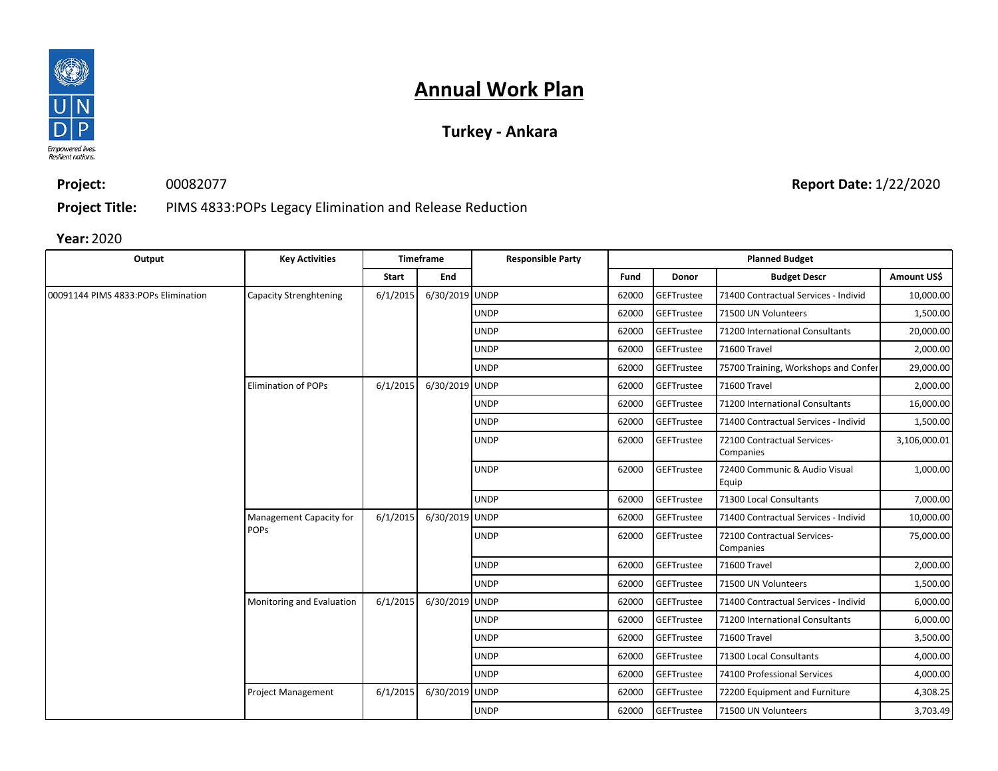

### **Turkey - Ankara**

**Project:**

00082077

**Report Date:** 1/22/2020

**Project Title:** PIMS 4833:POPs Legacy Elimination and Release Reduction

| Output                               | <b>Key Activities</b>      |          | <b>Timeframe</b> | <b>Responsible Party</b> |       |              | <b>Planned Budget</b>                    |              |
|--------------------------------------|----------------------------|----------|------------------|--------------------------|-------|--------------|------------------------------------------|--------------|
|                                      |                            | Start    | End              |                          | Fund  | <b>Donor</b> | <b>Budget Descr</b>                      | Amount US\$  |
| 00091144 PIMS 4833: POPs Elimination | Capacity Strenghtening     | 6/1/2015 | 6/30/2019 UNDP   |                          | 62000 | GEFTrustee   | 71400 Contractual Services - Individ     | 10,000.00    |
|                                      |                            |          |                  | <b>UNDP</b>              | 62000 | GEFTrustee   | 71500 UN Volunteers                      | 1,500.00     |
|                                      |                            |          |                  | <b>UNDP</b>              | 62000 | GEFTrustee   | 71200 International Consultants          | 20,000.00    |
|                                      |                            |          |                  | <b>UNDP</b>              | 62000 | GEFTrustee   | 71600 Travel                             | 2,000.00     |
|                                      |                            |          |                  | <b>UNDP</b>              | 62000 | GEFTrustee   | 75700 Training, Workshops and Confer     | 29,000.00    |
|                                      | <b>Elimination of POPs</b> | 6/1/2015 | 6/30/2019 UNDP   |                          | 62000 | GEFTrustee   | 71600 Travel                             | 2,000.00     |
|                                      |                            |          |                  | <b>UNDP</b>              | 62000 | GEFTrustee   | 71200 International Consultants          | 16,000.00    |
|                                      |                            |          |                  | <b>UNDP</b>              | 62000 | GEFTrustee   | 71400 Contractual Services - Individ     | 1,500.00     |
|                                      |                            |          |                  | <b>UNDP</b>              | 62000 | GEFTrustee   | 72100 Contractual Services-<br>Companies | 3,106,000.01 |
|                                      |                            |          |                  | <b>UNDP</b>              | 62000 | GEFTrustee   | 72400 Communic & Audio Visual<br>Equip   | 1,000.00     |
|                                      |                            |          |                  | <b>UNDP</b>              | 62000 | GEFTrustee   | 71300 Local Consultants                  | 7,000.00     |
|                                      | Management Capacity for    | 6/1/2015 | 6/30/2019 UNDP   |                          | 62000 | GEFTrustee   | 71400 Contractual Services - Individ     | 10,000.00    |
|                                      | <b>POPS</b>                |          |                  | <b>UNDP</b>              | 62000 | GEFTrustee   | 72100 Contractual Services-<br>Companies | 75,000.00    |
|                                      |                            |          |                  | <b>UNDP</b>              | 62000 | GEFTrustee   | 71600 Travel                             | 2,000.00     |
|                                      |                            |          |                  | <b>UNDP</b>              | 62000 | GEFTrustee   | 71500 UN Volunteers                      | 1,500.00     |
|                                      | Monitoring and Evaluation  | 6/1/2015 | 6/30/2019 UNDP   |                          | 62000 | GEFTrustee   | 71400 Contractual Services - Individ     | 6,000.00     |
|                                      |                            |          |                  | <b>UNDP</b>              | 62000 | GEFTrustee   | 71200 International Consultants          | 6,000.00     |
|                                      |                            |          |                  | <b>UNDP</b>              | 62000 | GEFTrustee   | 71600 Travel                             | 3,500.00     |
|                                      |                            |          |                  | <b>UNDP</b>              | 62000 | GEFTrustee   | 71300 Local Consultants                  | 4,000.00     |
|                                      |                            |          |                  | <b>UNDP</b>              | 62000 | GEFTrustee   | 74100 Professional Services              | 4,000.00     |
|                                      | <b>Project Management</b>  | 6/1/2015 | 6/30/2019 UNDP   |                          | 62000 | GEFTrustee   | 72200 Equipment and Furniture            | 4,308.25     |
|                                      |                            |          |                  | <b>UNDP</b>              | 62000 | GEFTrustee   | 71500 UN Volunteers                      | 3,703.49     |